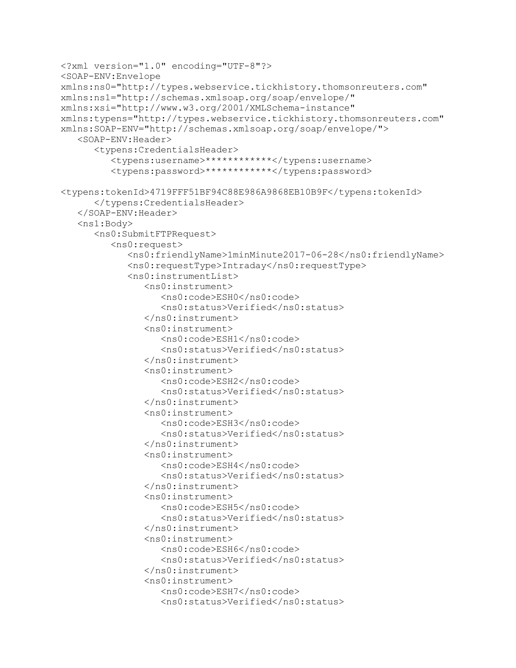```
<?xml version="1.0" encoding="UTF-8"?>
<SOAP-ENV:Envelope 
xmlns:ns0="http://types.webservice.tickhistory.thomsonreuters.com" 
xmlns:ns1="http://schemas.xmlsoap.org/soap/envelope/" 
xmlns:xsi="http://www.w3.org/2001/XMLSchema-instance" 
xmlns:typens="http://types.webservice.tickhistory.thomsonreuters.com" 
xmlns:SOAP-ENV="http://schemas.xmlsoap.org/soap/envelope/">
    <SOAP-ENV:Header>
       <typens:CredentialsHeader>
          <typens:username>************</typens:username>
          <typens:password>************</typens:password>
<typens:tokenId>4719FFF51BF94C88E986A9868EB10B9F</typens:tokenId>
       </typens:CredentialsHeader>
    </SOAP-ENV:Header>
    <ns1:Body>
       <ns0:SubmitFTPRequest>
          <ns0:request>
             <ns0:friendlyName>1minMinute2017-06-28</ns0:friendlyName>
             <ns0:requestType>Intraday</ns0:requestType>
             <ns0:instrumentList>
                <ns0:instrument>
                   <ns0:code>ESH0</ns0:code>
                   <ns0:status>Verified</ns0:status>
                </ns0:instrument>
                <ns0:instrument>
                   <ns0:code>ESH1</ns0:code>
                   <ns0:status>Verified</ns0:status>
                </ns0:instrument>
                <ns0:instrument>
                    <ns0:code>ESH2</ns0:code>
                   <ns0:status>Verified</ns0:status>
                </ns0:instrument>
                <ns0:instrument>
                    <ns0:code>ESH3</ns0:code>
                   <ns0:status>Verified</ns0:status>
                </ns0:instrument>
                <ns0:instrument>
                    <ns0:code>ESH4</ns0:code>
                   <ns0:status>Verified</ns0:status>
                </ns0:instrument>
                <ns0:instrument>
                   <ns0:code>ESH5</ns0:code>
                   <ns0:status>Verified</ns0:status>
                </ns0:instrument>
                <ns0:instrument>
                    <ns0:code>ESH6</ns0:code>
                   <ns0:status>Verified</ns0:status>
                </ns0:instrument>
                <ns0:instrument>
                   <ns0:code>ESH7</ns0:code>
                    <ns0:status>Verified</ns0:status>
```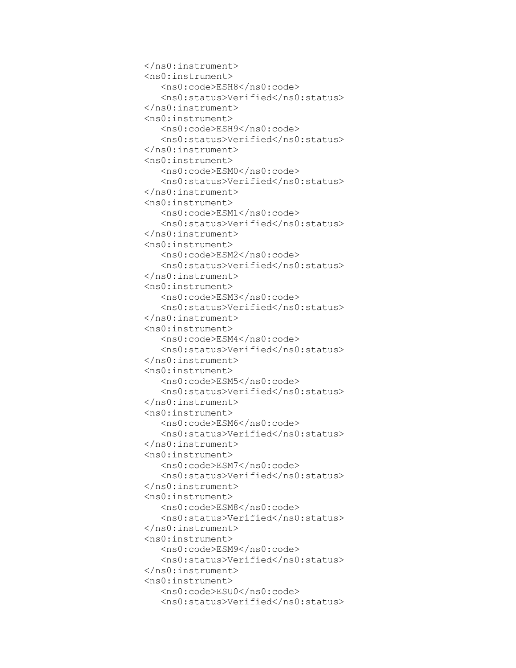```
 </ns0:instrument>
 <ns0:instrument>
    <ns0:code>ESH8</ns0:code>
   <ns0:status>Verified</ns0:status>
 </ns0:instrument>
 <ns0:instrument>
    <ns0:code>ESH9</ns0:code>
   <ns0:status>Verified</ns0:status>
 </ns0:instrument>
 <ns0:instrument>
    <ns0:code>ESM0</ns0:code>
   <ns0:status>Verified</ns0:status>
 </ns0:instrument>
 <ns0:instrument>
    <ns0:code>ESM1</ns0:code>
   <ns0:status>Verified</ns0:status>
 </ns0:instrument>
 <ns0:instrument>
    <ns0:code>ESM2</ns0:code>
   <ns0:status>Verified</ns0:status>
 </ns0:instrument>
 <ns0:instrument>
    <ns0:code>ESM3</ns0:code>
   <ns0:status>Verified</ns0:status>
 </ns0:instrument>
 <ns0:instrument>
    <ns0:code>ESM4</ns0:code>
   <ns0:status>Verified</ns0:status>
 </ns0:instrument>
 <ns0:instrument>
    <ns0:code>ESM5</ns0:code>
   <ns0:status>Verified</ns0:status>
 </ns0:instrument>
 <ns0:instrument>
    <ns0:code>ESM6</ns0:code>
   <ns0:status>Verified</ns0:status>
 </ns0:instrument>
 <ns0:instrument>
    <ns0:code>ESM7</ns0:code>
   <ns0:status>Verified</ns0:status>
 </ns0:instrument>
 <ns0:instrument>
    <ns0:code>ESM8</ns0:code>
   <ns0:status>Verified</ns0:status>
 </ns0:instrument>
 <ns0:instrument>
    <ns0:code>ESM9</ns0:code>
   <ns0:status>Verified</ns0:status>
 </ns0:instrument>
 <ns0:instrument>
    <ns0:code>ESU0</ns0:code>
   <ns0:status>Verified</ns0:status>
```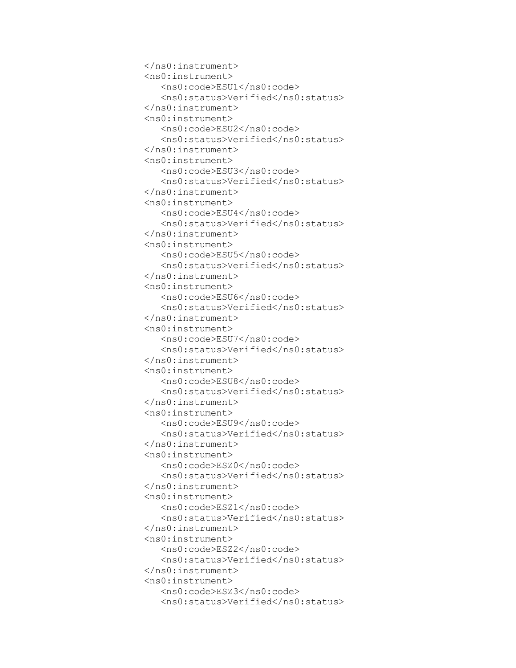```
 </ns0:instrument>
 <ns0:instrument>
    <ns0:code>ESU1</ns0:code>
    <ns0:status>Verified</ns0:status>
 </ns0:instrument>
 <ns0:instrument>
    <ns0:code>ESU2</ns0:code>
   <ns0:status>Verified</ns0:status>
 </ns0:instrument>
 <ns0:instrument>
    <ns0:code>ESU3</ns0:code>
   <ns0:status>Verified</ns0:status>
 </ns0:instrument>
 <ns0:instrument>
    <ns0:code>ESU4</ns0:code>
   <ns0:status>Verified</ns0:status>
 </ns0:instrument>
 <ns0:instrument>
    <ns0:code>ESU5</ns0:code>
   <ns0:status>Verified</ns0:status>
 </ns0:instrument>
 <ns0:instrument>
    <ns0:code>ESU6</ns0:code>
   <ns0:status>Verified</ns0:status>
 </ns0:instrument>
 <ns0:instrument>
    <ns0:code>ESU7</ns0:code>
   <ns0:status>Verified</ns0:status>
 </ns0:instrument>
 <ns0:instrument>
    <ns0:code>ESU8</ns0:code>
   <ns0:status>Verified</ns0:status>
 </ns0:instrument>
 <ns0:instrument>
    <ns0:code>ESU9</ns0:code>
   <ns0:status>Verified</ns0:status>
 </ns0:instrument>
 <ns0:instrument>
    <ns0:code>ESZ0</ns0:code>
   <ns0:status>Verified</ns0:status>
 </ns0:instrument>
 <ns0:instrument>
    <ns0:code>ESZ1</ns0:code>
   <ns0:status>Verified</ns0:status>
 </ns0:instrument>
 <ns0:instrument>
    <ns0:code>ESZ2</ns0:code>
   <ns0:status>Verified</ns0:status>
 </ns0:instrument>
 <ns0:instrument>
    <ns0:code>ESZ3</ns0:code>
   <ns0:status>Verified</ns0:status>
```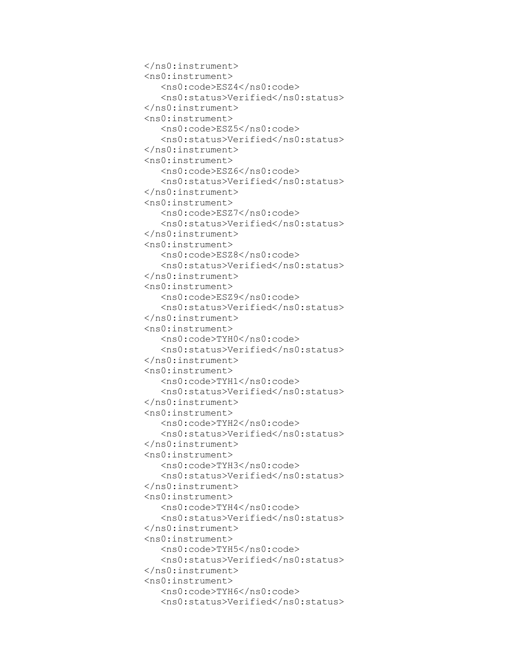```
 </ns0:instrument>
 <ns0:instrument>
    <ns0:code>ESZ4</ns0:code>
   <ns0:status>Verified</ns0:status>
 </ns0:instrument>
 <ns0:instrument>
    <ns0:code>ESZ5</ns0:code>
    <ns0:status>Verified</ns0:status>
 </ns0:instrument>
 <ns0:instrument>
    <ns0:code>ESZ6</ns0:code>
   <ns0:status>Verified</ns0:status>
 </ns0:instrument>
 <ns0:instrument>
    <ns0:code>ESZ7</ns0:code>
   <ns0:status>Verified</ns0:status>
 </ns0:instrument>
 <ns0:instrument>
    <ns0:code>ESZ8</ns0:code>
   <ns0:status>Verified</ns0:status>
 </ns0:instrument>
 <ns0:instrument>
    <ns0:code>ESZ9</ns0:code>
   <ns0:status>Verified</ns0:status>
 </ns0:instrument>
 <ns0:instrument>
    <ns0:code>TYH0</ns0:code>
   <ns0:status>Verified</ns0:status>
 </ns0:instrument>
 <ns0:instrument>
    <ns0:code>TYH1</ns0:code>
   <ns0:status>Verified</ns0:status>
 </ns0:instrument>
 <ns0:instrument>
    <ns0:code>TYH2</ns0:code>
   <ns0:status>Verified</ns0:status>
 </ns0:instrument>
 <ns0:instrument>
    <ns0:code>TYH3</ns0:code>
   <ns0:status>Verified</ns0:status>
 </ns0:instrument>
 <ns0:instrument>
    <ns0:code>TYH4</ns0:code>
   <ns0:status>Verified</ns0:status>
 </ns0:instrument>
 <ns0:instrument>
    <ns0:code>TYH5</ns0:code>
   <ns0:status>Verified</ns0:status>
 </ns0:instrument>
 <ns0:instrument>
    <ns0:code>TYH6</ns0:code>
   <ns0:status>Verified</ns0:status>
```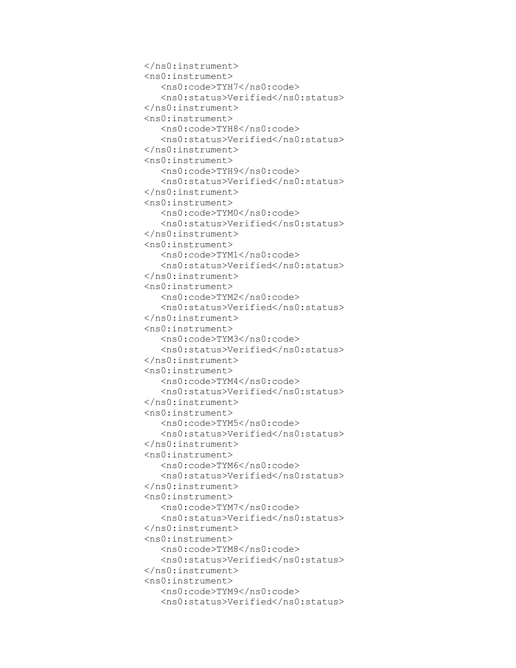```
 </ns0:instrument>
 <ns0:instrument>
    <ns0:code>TYH7</ns0:code>
   <ns0:status>Verified</ns0:status>
 </ns0:instrument>
 <ns0:instrument>
    <ns0:code>TYH8</ns0:code>
   <ns0:status>Verified</ns0:status>
 </ns0:instrument>
 <ns0:instrument>
    <ns0:code>TYH9</ns0:code>
    <ns0:status>Verified</ns0:status>
 </ns0:instrument>
 <ns0:instrument>
    <ns0:code>TYM0</ns0:code>
   <ns0:status>Verified</ns0:status>
 </ns0:instrument>
 <ns0:instrument>
    <ns0:code>TYM1</ns0:code>
   <ns0:status>Verified</ns0:status>
 </ns0:instrument>
 <ns0:instrument>
    <ns0:code>TYM2</ns0:code>
   <ns0:status>Verified</ns0:status>
 </ns0:instrument>
 <ns0:instrument>
    <ns0:code>TYM3</ns0:code>
   <ns0:status>Verified</ns0:status>
 </ns0:instrument>
 <ns0:instrument>
    <ns0:code>TYM4</ns0:code>
   <ns0:status>Verified</ns0:status>
 </ns0:instrument>
 <ns0:instrument>
    <ns0:code>TYM5</ns0:code>
   <ns0:status>Verified</ns0:status>
 </ns0:instrument>
 <ns0:instrument>
    <ns0:code>TYM6</ns0:code>
   <ns0:status>Verified</ns0:status>
 </ns0:instrument>
 <ns0:instrument>
    <ns0:code>TYM7</ns0:code>
   <ns0:status>Verified</ns0:status>
 </ns0:instrument>
 <ns0:instrument>
    <ns0:code>TYM8</ns0:code>
   <ns0:status>Verified</ns0:status>
 </ns0:instrument>
 <ns0:instrument>
    <ns0:code>TYM9</ns0:code>
   <ns0:status>Verified</ns0:status>
```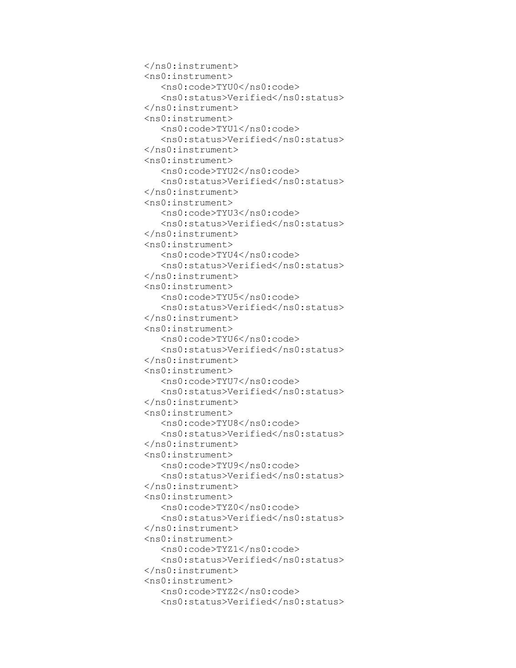```
 </ns0:instrument>
 <ns0:instrument>
    <ns0:code>TYU0</ns0:code>
   <ns0:status>Verified</ns0:status>
 </ns0:instrument>
 <ns0:instrument>
    <ns0:code>TYU1</ns0:code>
   <ns0:status>Verified</ns0:status>
 </ns0:instrument>
 <ns0:instrument>
    <ns0:code>TYU2</ns0:code>
   <ns0:status>Verified</ns0:status>
 </ns0:instrument>
 <ns0:instrument>
    <ns0:code>TYU3</ns0:code>
    <ns0:status>Verified</ns0:status>
 </ns0:instrument>
 <ns0:instrument>
    <ns0:code>TYU4</ns0:code>
   <ns0:status>Verified</ns0:status>
 </ns0:instrument>
 <ns0:instrument>
    <ns0:code>TYU5</ns0:code>
   <ns0:status>Verified</ns0:status>
 </ns0:instrument>
 <ns0:instrument>
    <ns0:code>TYU6</ns0:code>
   <ns0:status>Verified</ns0:status>
 </ns0:instrument>
 <ns0:instrument>
    <ns0:code>TYU7</ns0:code>
   <ns0:status>Verified</ns0:status>
 </ns0:instrument>
 <ns0:instrument>
    <ns0:code>TYU8</ns0:code>
   <ns0:status>Verified</ns0:status>
 </ns0:instrument>
 <ns0:instrument>
    <ns0:code>TYU9</ns0:code>
   <ns0:status>Verified</ns0:status>
 </ns0:instrument>
 <ns0:instrument>
    <ns0:code>TYZ0</ns0:code>
   <ns0:status>Verified</ns0:status>
 </ns0:instrument>
 <ns0:instrument>
    <ns0:code>TYZ1</ns0:code>
   <ns0:status>Verified</ns0:status>
 </ns0:instrument>
 <ns0:instrument>
    <ns0:code>TYZ2</ns0:code>
   <ns0:status>Verified</ns0:status>
```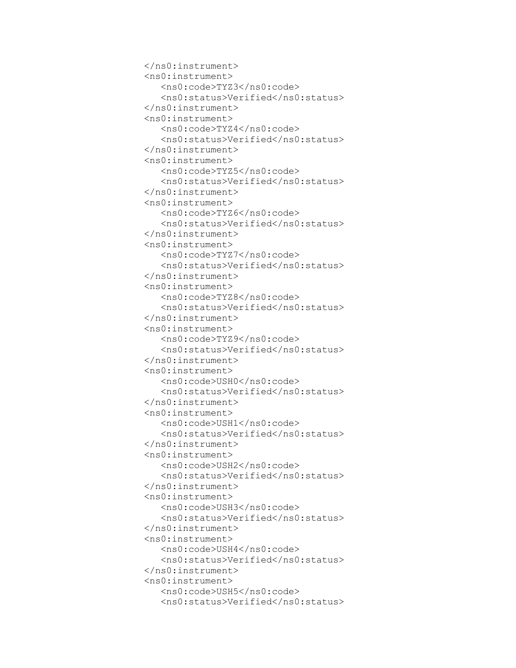```
 </ns0:instrument>
 <ns0:instrument>
    <ns0:code>TYZ3</ns0:code>
   <ns0:status>Verified</ns0:status>
 </ns0:instrument>
 <ns0:instrument>
    <ns0:code>TYZ4</ns0:code>
   <ns0:status>Verified</ns0:status>
 </ns0:instrument>
 <ns0:instrument>
    <ns0:code>TYZ5</ns0:code>
   <ns0:status>Verified</ns0:status>
 </ns0:instrument>
 <ns0:instrument>
    <ns0:code>TYZ6</ns0:code>
   <ns0:status>Verified</ns0:status>
 </ns0:instrument>
 <ns0:instrument>
    <ns0:code>TYZ7</ns0:code>
    <ns0:status>Verified</ns0:status>
 </ns0:instrument>
 <ns0:instrument>
    <ns0:code>TYZ8</ns0:code>
   <ns0:status>Verified</ns0:status>
 </ns0:instrument>
 <ns0:instrument>
    <ns0:code>TYZ9</ns0:code>
   <ns0:status>Verified</ns0:status>
 </ns0:instrument>
 <ns0:instrument>
    <ns0:code>USH0</ns0:code>
   <ns0:status>Verified</ns0:status>
 </ns0:instrument>
 <ns0:instrument>
    <ns0:code>USH1</ns0:code>
   <ns0:status>Verified</ns0:status>
 </ns0:instrument>
 <ns0:instrument>
    <ns0:code>USH2</ns0:code>
   <ns0:status>Verified</ns0:status>
 </ns0:instrument>
 <ns0:instrument>
    <ns0:code>USH3</ns0:code>
   <ns0:status>Verified</ns0:status>
 </ns0:instrument>
 <ns0:instrument>
    <ns0:code>USH4</ns0:code>
   <ns0:status>Verified</ns0:status>
 </ns0:instrument>
 <ns0:instrument>
    <ns0:code>USH5</ns0:code>
   <ns0:status>Verified</ns0:status>
```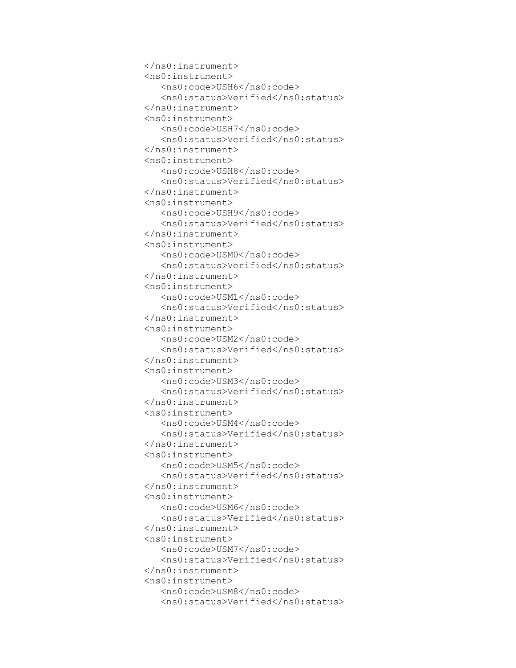```
 </ns0:instrument>
 <ns0:instrument>
    <ns0:code>USH6</ns0:code>
   <ns0:status>Verified</ns0:status>
 </ns0:instrument>
 <ns0:instrument>
    <ns0:code>USH7</ns0:code>
   <ns0:status>Verified</ns0:status>
 </ns0:instrument>
 <ns0:instrument>
    <ns0:code>USH8</ns0:code>
   <ns0:status>Verified</ns0:status>
 </ns0:instrument>
 <ns0:instrument>
    <ns0:code>USH9</ns0:code>
   <ns0:status>Verified</ns0:status>
 </ns0:instrument>
 <ns0:instrument>
    <ns0:code>USM0</ns0:code>
   <ns0:status>Verified</ns0:status>
 </ns0:instrument>
 <ns0:instrument>
    <ns0:code>USM1</ns0:code>
    <ns0:status>Verified</ns0:status>
 </ns0:instrument>
 <ns0:instrument>
    <ns0:code>USM2</ns0:code>
   <ns0:status>Verified</ns0:status>
 </ns0:instrument>
 <ns0:instrument>
    <ns0:code>USM3</ns0:code>
   <ns0:status>Verified</ns0:status>
 </ns0:instrument>
 <ns0:instrument>
    <ns0:code>USM4</ns0:code>
   <ns0:status>Verified</ns0:status>
 </ns0:instrument>
 <ns0:instrument>
    <ns0:code>USM5</ns0:code>
   <ns0:status>Verified</ns0:status>
 </ns0:instrument>
 <ns0:instrument>
    <ns0:code>USM6</ns0:code>
   <ns0:status>Verified</ns0:status>
 </ns0:instrument>
 <ns0:instrument>
    <ns0:code>USM7</ns0:code>
   <ns0:status>Verified</ns0:status>
 </ns0:instrument>
 <ns0:instrument>
    <ns0:code>USM8</ns0:code>
   <ns0:status>Verified</ns0:status>
```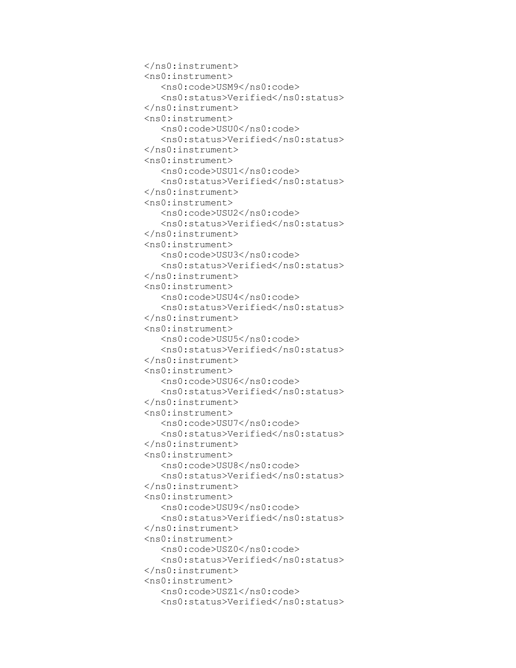```
 </ns0:instrument>
 <ns0:instrument>
    <ns0:code>USM9</ns0:code>
   <ns0:status>Verified</ns0:status>
 </ns0:instrument>
 <ns0:instrument>
    <ns0:code>USU0</ns0:code>
   <ns0:status>Verified</ns0:status>
 </ns0:instrument>
 <ns0:instrument>
    <ns0:code>USU1</ns0:code>
   <ns0:status>Verified</ns0:status>
 </ns0:instrument>
 <ns0:instrument>
    <ns0:code>USU2</ns0:code>
   <ns0:status>Verified</ns0:status>
 </ns0:instrument>
 <ns0:instrument>
    <ns0:code>USU3</ns0:code>
   <ns0:status>Verified</ns0:status>
 </ns0:instrument>
 <ns0:instrument>
    <ns0:code>USU4</ns0:code>
   <ns0:status>Verified</ns0:status>
 </ns0:instrument>
 <ns0:instrument>
    <ns0:code>USU5</ns0:code>
    <ns0:status>Verified</ns0:status>
 </ns0:instrument>
 <ns0:instrument>
    <ns0:code>USU6</ns0:code>
   <ns0:status>Verified</ns0:status>
 </ns0:instrument>
 <ns0:instrument>
    <ns0:code>USU7</ns0:code>
   <ns0:status>Verified</ns0:status>
 </ns0:instrument>
 <ns0:instrument>
    <ns0:code>USU8</ns0:code>
   <ns0:status>Verified</ns0:status>
 </ns0:instrument>
 <ns0:instrument>
    <ns0:code>USU9</ns0:code>
   <ns0:status>Verified</ns0:status>
 </ns0:instrument>
 <ns0:instrument>
    <ns0:code>USZ0</ns0:code>
   <ns0:status>Verified</ns0:status>
 </ns0:instrument>
 <ns0:instrument>
    <ns0:code>USZ1</ns0:code>
   <ns0:status>Verified</ns0:status>
```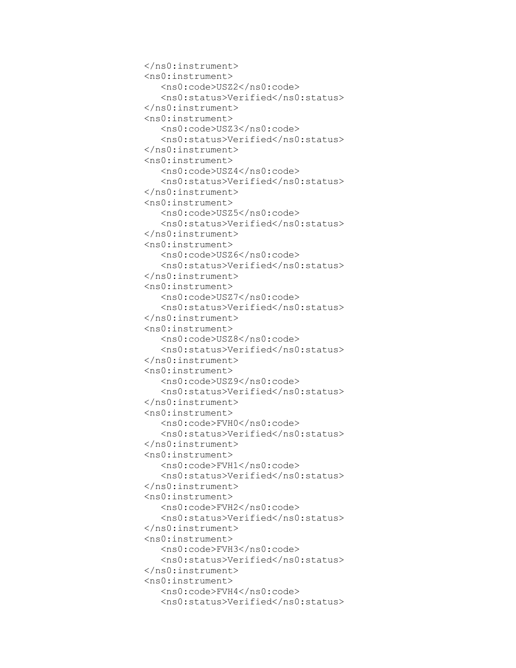```
 </ns0:instrument>
 <ns0:instrument>
    <ns0:code>USZ2</ns0:code>
   <ns0:status>Verified</ns0:status>
 </ns0:instrument>
 <ns0:instrument>
    <ns0:code>USZ3</ns0:code>
   <ns0:status>Verified</ns0:status>
 </ns0:instrument>
 <ns0:instrument>
    <ns0:code>USZ4</ns0:code>
   <ns0:status>Verified</ns0:status>
 </ns0:instrument>
 <ns0:instrument>
    <ns0:code>USZ5</ns0:code>
   <ns0:status>Verified</ns0:status>
 </ns0:instrument>
 <ns0:instrument>
    <ns0:code>USZ6</ns0:code>
   <ns0:status>Verified</ns0:status>
 </ns0:instrument>
 <ns0:instrument>
    <ns0:code>USZ7</ns0:code>
   <ns0:status>Verified</ns0:status>
 </ns0:instrument>
 <ns0:instrument>
    <ns0:code>USZ8</ns0:code>
   <ns0:status>Verified</ns0:status>
 </ns0:instrument>
 <ns0:instrument>
    <ns0:code>USZ9</ns0:code>
    <ns0:status>Verified</ns0:status>
 </ns0:instrument>
 <ns0:instrument>
    <ns0:code>FVH0</ns0:code>
   <ns0:status>Verified</ns0:status>
 </ns0:instrument>
 <ns0:instrument>
    <ns0:code>FVH1</ns0:code>
   <ns0:status>Verified</ns0:status>
 </ns0:instrument>
 <ns0:instrument>
    <ns0:code>FVH2</ns0:code>
   <ns0:status>Verified</ns0:status>
 </ns0:instrument>
 <ns0:instrument>
    <ns0:code>FVH3</ns0:code>
   <ns0:status>Verified</ns0:status>
 </ns0:instrument>
 <ns0:instrument>
    <ns0:code>FVH4</ns0:code>
   <ns0:status>Verified</ns0:status>
```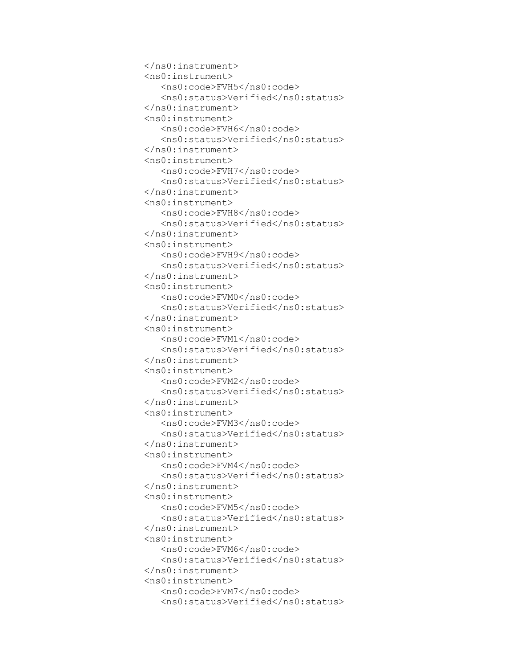```
 </ns0:instrument>
 <ns0:instrument>
    <ns0:code>FVH5</ns0:code>
   <ns0:status>Verified</ns0:status>
 </ns0:instrument>
 <ns0:instrument>
    <ns0:code>FVH6</ns0:code>
   <ns0:status>Verified</ns0:status>
 </ns0:instrument>
 <ns0:instrument>
    <ns0:code>FVH7</ns0:code>
   <ns0:status>Verified</ns0:status>
 </ns0:instrument>
 <ns0:instrument>
    <ns0:code>FVH8</ns0:code>
   <ns0:status>Verified</ns0:status>
 </ns0:instrument>
 <ns0:instrument>
    <ns0:code>FVH9</ns0:code>
   <ns0:status>Verified</ns0:status>
 </ns0:instrument>
 <ns0:instrument>
    <ns0:code>FVM0</ns0:code>
   <ns0:status>Verified</ns0:status>
 </ns0:instrument>
 <ns0:instrument>
    <ns0:code>FVM1</ns0:code>
   <ns0:status>Verified</ns0:status>
 </ns0:instrument>
 <ns0:instrument>
    <ns0:code>FVM2</ns0:code>
   <ns0:status>Verified</ns0:status>
 </ns0:instrument>
 <ns0:instrument>
    <ns0:code>FVM3</ns0:code>
    <ns0:status>Verified</ns0:status>
 </ns0:instrument>
 <ns0:instrument>
    <ns0:code>FVM4</ns0:code>
   <ns0:status>Verified</ns0:status>
 </ns0:instrument>
 <ns0:instrument>
    <ns0:code>FVM5</ns0:code>
   <ns0:status>Verified</ns0:status>
 </ns0:instrument>
 <ns0:instrument>
    <ns0:code>FVM6</ns0:code>
   <ns0:status>Verified</ns0:status>
 </ns0:instrument>
 <ns0:instrument>
    <ns0:code>FVM7</ns0:code>
   <ns0:status>Verified</ns0:status>
```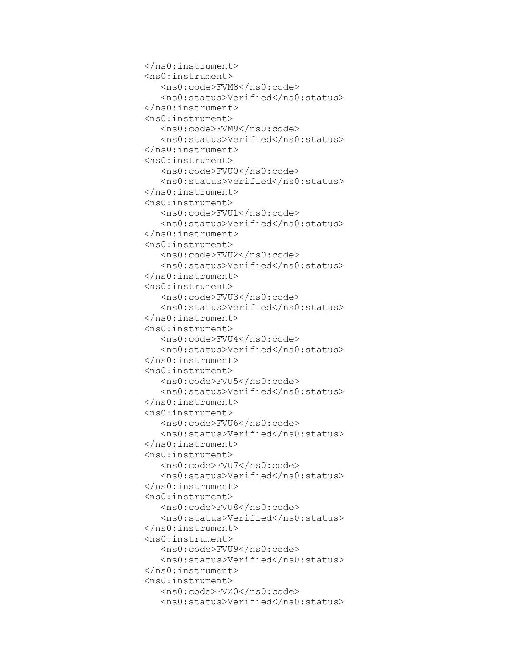```
 </ns0:instrument>
 <ns0:instrument>
    <ns0:code>FVM8</ns0:code>
   <ns0:status>Verified</ns0:status>
 </ns0:instrument>
 <ns0:instrument>
    <ns0:code>FVM9</ns0:code>
   <ns0:status>Verified</ns0:status>
 </ns0:instrument>
 <ns0:instrument>
    <ns0:code>FVU0</ns0:code>
   <ns0:status>Verified</ns0:status>
 </ns0:instrument>
 <ns0:instrument>
    <ns0:code>FVU1</ns0:code>
   <ns0:status>Verified</ns0:status>
 </ns0:instrument>
 <ns0:instrument>
    <ns0:code>FVU2</ns0:code>
   <ns0:status>Verified</ns0:status>
 </ns0:instrument>
 <ns0:instrument>
    <ns0:code>FVU3</ns0:code>
   <ns0:status>Verified</ns0:status>
 </ns0:instrument>
 <ns0:instrument>
    <ns0:code>FVU4</ns0:code>
   <ns0:status>Verified</ns0:status>
 </ns0:instrument>
 <ns0:instrument>
    <ns0:code>FVU5</ns0:code>
   <ns0:status>Verified</ns0:status>
 </ns0:instrument>
 <ns0:instrument>
    <ns0:code>FVU6</ns0:code>
   <ns0:status>Verified</ns0:status>
 </ns0:instrument>
 <ns0:instrument>
    <ns0:code>FVU7</ns0:code>
    <ns0:status>Verified</ns0:status>
 </ns0:instrument>
 <ns0:instrument>
    <ns0:code>FVU8</ns0:code>
   <ns0:status>Verified</ns0:status>
 </ns0:instrument>
 <ns0:instrument>
    <ns0:code>FVU9</ns0:code>
   <ns0:status>Verified</ns0:status>
 </ns0:instrument>
 <ns0:instrument>
    <ns0:code>FVZ0</ns0:code>
   <ns0:status>Verified</ns0:status>
```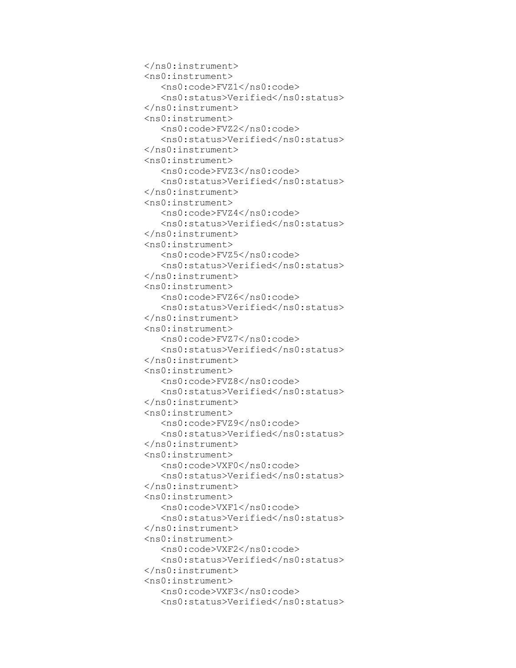```
 </ns0:instrument>
 <ns0:instrument>
    <ns0:code>FVZ1</ns0:code>
   <ns0:status>Verified</ns0:status>
 </ns0:instrument>
 <ns0:instrument>
    <ns0:code>FVZ2</ns0:code>
   <ns0:status>Verified</ns0:status>
 </ns0:instrument>
 <ns0:instrument>
    <ns0:code>FVZ3</ns0:code>
   <ns0:status>Verified</ns0:status>
 </ns0:instrument>
 <ns0:instrument>
    <ns0:code>FVZ4</ns0:code>
   <ns0:status>Verified</ns0:status>
 </ns0:instrument>
 <ns0:instrument>
    <ns0:code>FVZ5</ns0:code>
   <ns0:status>Verified</ns0:status>
 </ns0:instrument>
 <ns0:instrument>
    <ns0:code>FVZ6</ns0:code>
   <ns0:status>Verified</ns0:status>
 </ns0:instrument>
 <ns0:instrument>
    <ns0:code>FVZ7</ns0:code>
   <ns0:status>Verified</ns0:status>
 </ns0:instrument>
 <ns0:instrument>
    <ns0:code>FVZ8</ns0:code>
   <ns0:status>Verified</ns0:status>
 </ns0:instrument>
 <ns0:instrument>
    <ns0:code>FVZ9</ns0:code>
   <ns0:status>Verified</ns0:status>
 </ns0:instrument>
 <ns0:instrument>
    <ns0:code>VXF0</ns0:code>
   <ns0:status>Verified</ns0:status>
 </ns0:instrument>
 <ns0:instrument>
    <ns0:code>VXF1</ns0:code>
    <ns0:status>Verified</ns0:status>
 </ns0:instrument>
 <ns0:instrument>
    <ns0:code>VXF2</ns0:code>
   <ns0:status>Verified</ns0:status>
 </ns0:instrument>
 <ns0:instrument>
    <ns0:code>VXF3</ns0:code>
   <ns0:status>Verified</ns0:status>
```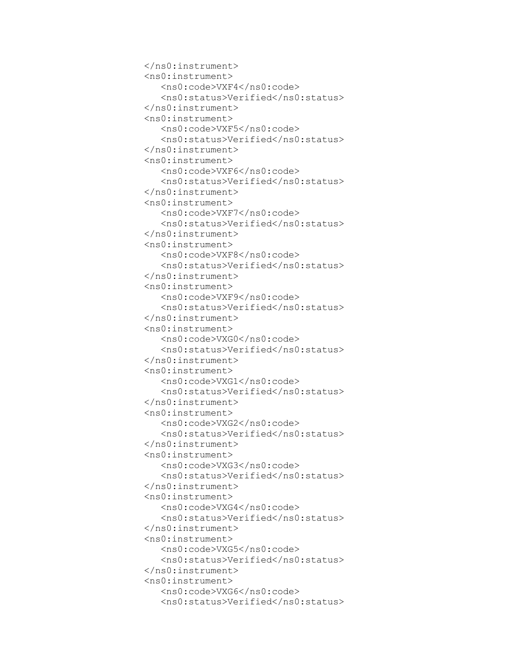```
 </ns0:instrument>
 <ns0:instrument>
    <ns0:code>VXF4</ns0:code>
   <ns0:status>Verified</ns0:status>
 </ns0:instrument>
 <ns0:instrument>
    <ns0:code>VXF5</ns0:code>
   <ns0:status>Verified</ns0:status>
 </ns0:instrument>
 <ns0:instrument>
    <ns0:code>VXF6</ns0:code>
   <ns0:status>Verified</ns0:status>
 </ns0:instrument>
 <ns0:instrument>
    <ns0:code>VXF7</ns0:code>
   <ns0:status>Verified</ns0:status>
 </ns0:instrument>
 <ns0:instrument>
    <ns0:code>VXF8</ns0:code>
   <ns0:status>Verified</ns0:status>
 </ns0:instrument>
 <ns0:instrument>
    <ns0:code>VXF9</ns0:code>
   <ns0:status>Verified</ns0:status>
 </ns0:instrument>
 <ns0:instrument>
    <ns0:code>VXG0</ns0:code>
   <ns0:status>Verified</ns0:status>
 </ns0:instrument>
 <ns0:instrument>
    <ns0:code>VXG1</ns0:code>
   <ns0:status>Verified</ns0:status>
 </ns0:instrument>
 <ns0:instrument>
    <ns0:code>VXG2</ns0:code>
   <ns0:status>Verified</ns0:status>
 </ns0:instrument>
 <ns0:instrument>
    <ns0:code>VXG3</ns0:code>
   <ns0:status>Verified</ns0:status>
 </ns0:instrument>
 <ns0:instrument>
    <ns0:code>VXG4</ns0:code>
   <ns0:status>Verified</ns0:status>
 </ns0:instrument>
 <ns0:instrument>
    <ns0:code>VXG5</ns0:code>
    <ns0:status>Verified</ns0:status>
 </ns0:instrument>
 <ns0:instrument>
    <ns0:code>VXG6</ns0:code>
   <ns0:status>Verified</ns0:status>
```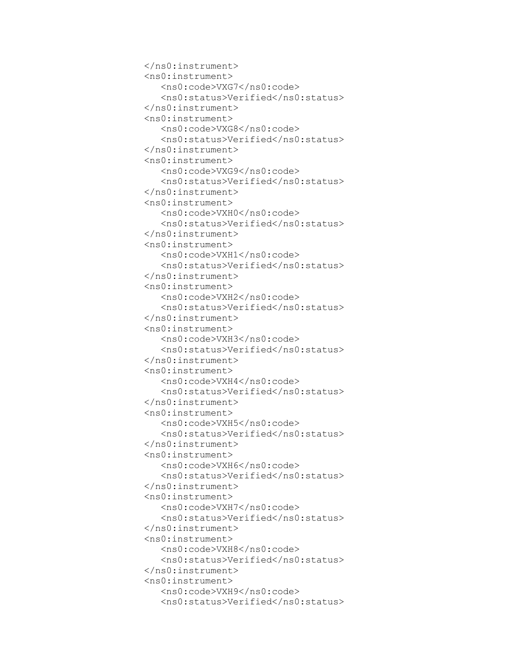```
 </ns0:instrument>
 <ns0:instrument>
    <ns0:code>VXG7</ns0:code>
   <ns0:status>Verified</ns0:status>
 </ns0:instrument>
 <ns0:instrument>
    <ns0:code>VXG8</ns0:code>
   <ns0:status>Verified</ns0:status>
 </ns0:instrument>
 <ns0:instrument>
    <ns0:code>VXG9</ns0:code>
   <ns0:status>Verified</ns0:status>
 </ns0:instrument>
 <ns0:instrument>
    <ns0:code>VXH0</ns0:code>
   <ns0:status>Verified</ns0:status>
 </ns0:instrument>
 <ns0:instrument>
    <ns0:code>VXH1</ns0:code>
   <ns0:status>Verified</ns0:status>
 </ns0:instrument>
 <ns0:instrument>
    <ns0:code>VXH2</ns0:code>
   <ns0:status>Verified</ns0:status>
 </ns0:instrument>
 <ns0:instrument>
    <ns0:code>VXH3</ns0:code>
   <ns0:status>Verified</ns0:status>
 </ns0:instrument>
 <ns0:instrument>
    <ns0:code>VXH4</ns0:code>
   <ns0:status>Verified</ns0:status>
 </ns0:instrument>
 <ns0:instrument>
    <ns0:code>VXH5</ns0:code>
   <ns0:status>Verified</ns0:status>
 </ns0:instrument>
 <ns0:instrument>
    <ns0:code>VXH6</ns0:code>
   <ns0:status>Verified</ns0:status>
 </ns0:instrument>
 <ns0:instrument>
    <ns0:code>VXH7</ns0:code>
   <ns0:status>Verified</ns0:status>
 </ns0:instrument>
 <ns0:instrument>
    <ns0:code>VXH8</ns0:code>
   <ns0:status>Verified</ns0:status>
 </ns0:instrument>
 <ns0:instrument>
    <ns0:code>VXH9</ns0:code>
    <ns0:status>Verified</ns0:status>
```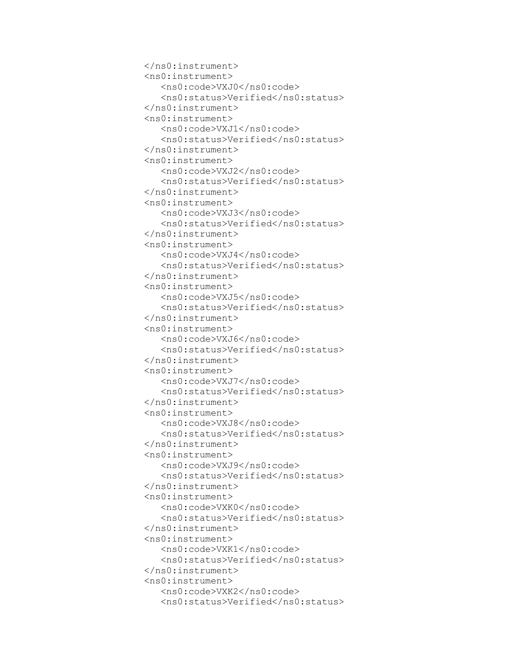```
 </ns0:instrument>
 <ns0:instrument>
    <ns0:code>VXJ0</ns0:code>
   <ns0:status>Verified</ns0:status>
 </ns0:instrument>
 <ns0:instrument>
    <ns0:code>VXJ1</ns0:code>
   <ns0:status>Verified</ns0:status>
 </ns0:instrument>
 <ns0:instrument>
    <ns0:code>VXJ2</ns0:code>
   <ns0:status>Verified</ns0:status>
 </ns0:instrument>
 <ns0:instrument>
    <ns0:code>VXJ3</ns0:code>
   <ns0:status>Verified</ns0:status>
 </ns0:instrument>
 <ns0:instrument>
    <ns0:code>VXJ4</ns0:code>
   <ns0:status>Verified</ns0:status>
 </ns0:instrument>
 <ns0:instrument>
    <ns0:code>VXJ5</ns0:code>
   <ns0:status>Verified</ns0:status>
 </ns0:instrument>
 <ns0:instrument>
    <ns0:code>VXJ6</ns0:code>
   <ns0:status>Verified</ns0:status>
 </ns0:instrument>
 <ns0:instrument>
    <ns0:code>VXJ7</ns0:code>
   <ns0:status>Verified</ns0:status>
 </ns0:instrument>
 <ns0:instrument>
    <ns0:code>VXJ8</ns0:code>
   <ns0:status>Verified</ns0:status>
 </ns0:instrument>
 <ns0:instrument>
    <ns0:code>VXJ9</ns0:code>
   <ns0:status>Verified</ns0:status>
 </ns0:instrument>
 <ns0:instrument>
    <ns0:code>VXK0</ns0:code>
   <ns0:status>Verified</ns0:status>
 </ns0:instrument>
 <ns0:instrument>
    <ns0:code>VXK1</ns0:code>
   <ns0:status>Verified</ns0:status>
 </ns0:instrument>
 <ns0:instrument>
    <ns0:code>VXK2</ns0:code>
   <ns0:status>Verified</ns0:status>
```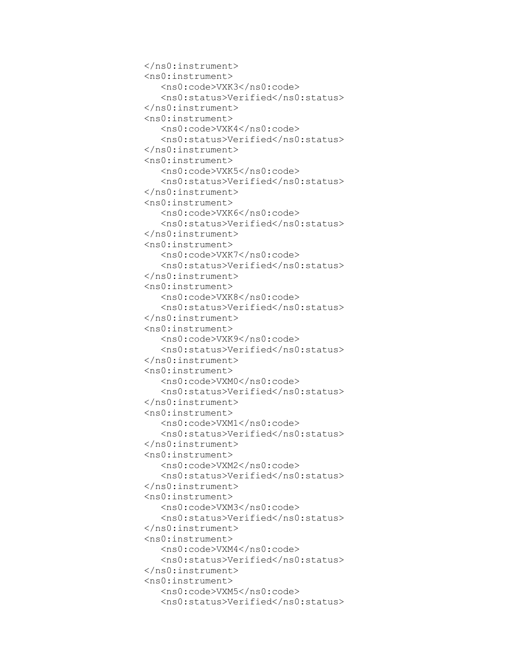```
 </ns0:instrument>
 <ns0:instrument>
    <ns0:code>VXK3</ns0:code>
    <ns0:status>Verified</ns0:status>
 </ns0:instrument>
 <ns0:instrument>
    <ns0:code>VXK4</ns0:code>
   <ns0:status>Verified</ns0:status>
 </ns0:instrument>
 <ns0:instrument>
    <ns0:code>VXK5</ns0:code>
   <ns0:status>Verified</ns0:status>
 </ns0:instrument>
 <ns0:instrument>
    <ns0:code>VXK6</ns0:code>
   <ns0:status>Verified</ns0:status>
 </ns0:instrument>
 <ns0:instrument>
    <ns0:code>VXK7</ns0:code>
   <ns0:status>Verified</ns0:status>
 </ns0:instrument>
 <ns0:instrument>
    <ns0:code>VXK8</ns0:code>
   <ns0:status>Verified</ns0:status>
 </ns0:instrument>
 <ns0:instrument>
    <ns0:code>VXK9</ns0:code>
   <ns0:status>Verified</ns0:status>
 </ns0:instrument>
 <ns0:instrument>
    <ns0:code>VXM0</ns0:code>
   <ns0:status>Verified</ns0:status>
 </ns0:instrument>
 <ns0:instrument>
    <ns0:code>VXM1</ns0:code>
   <ns0:status>Verified</ns0:status>
 </ns0:instrument>
 <ns0:instrument>
    <ns0:code>VXM2</ns0:code>
   <ns0:status>Verified</ns0:status>
 </ns0:instrument>
 <ns0:instrument>
    <ns0:code>VXM3</ns0:code>
   <ns0:status>Verified</ns0:status>
 </ns0:instrument>
 <ns0:instrument>
    <ns0:code>VXM4</ns0:code>
   <ns0:status>Verified</ns0:status>
 </ns0:instrument>
 <ns0:instrument>
    <ns0:code>VXM5</ns0:code>
   <ns0:status>Verified</ns0:status>
```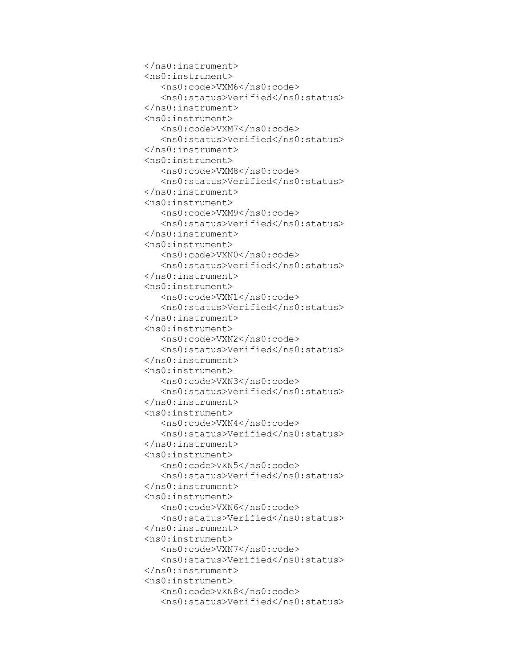```
 </ns0:instrument>
 <ns0:instrument>
    <ns0:code>VXM6</ns0:code>
   <ns0:status>Verified</ns0:status>
 </ns0:instrument>
 <ns0:instrument>
    <ns0:code>VXM7</ns0:code>
    <ns0:status>Verified</ns0:status>
 </ns0:instrument>
 <ns0:instrument>
    <ns0:code>VXM8</ns0:code>
   <ns0:status>Verified</ns0:status>
 </ns0:instrument>
 <ns0:instrument>
    <ns0:code>VXM9</ns0:code>
   <ns0:status>Verified</ns0:status>
 </ns0:instrument>
 <ns0:instrument>
    <ns0:code>VXN0</ns0:code>
   <ns0:status>Verified</ns0:status>
 </ns0:instrument>
 <ns0:instrument>
    <ns0:code>VXN1</ns0:code>
   <ns0:status>Verified</ns0:status>
 </ns0:instrument>
 <ns0:instrument>
    <ns0:code>VXN2</ns0:code>
   <ns0:status>Verified</ns0:status>
 </ns0:instrument>
 <ns0:instrument>
    <ns0:code>VXN3</ns0:code>
   <ns0:status>Verified</ns0:status>
 </ns0:instrument>
 <ns0:instrument>
    <ns0:code>VXN4</ns0:code>
   <ns0:status>Verified</ns0:status>
 </ns0:instrument>
 <ns0:instrument>
    <ns0:code>VXN5</ns0:code>
   <ns0:status>Verified</ns0:status>
 </ns0:instrument>
 <ns0:instrument>
    <ns0:code>VXN6</ns0:code>
   <ns0:status>Verified</ns0:status>
 </ns0:instrument>
 <ns0:instrument>
    <ns0:code>VXN7</ns0:code>
   <ns0:status>Verified</ns0:status>
 </ns0:instrument>
 <ns0:instrument>
    <ns0:code>VXN8</ns0:code>
   <ns0:status>Verified</ns0:status>
```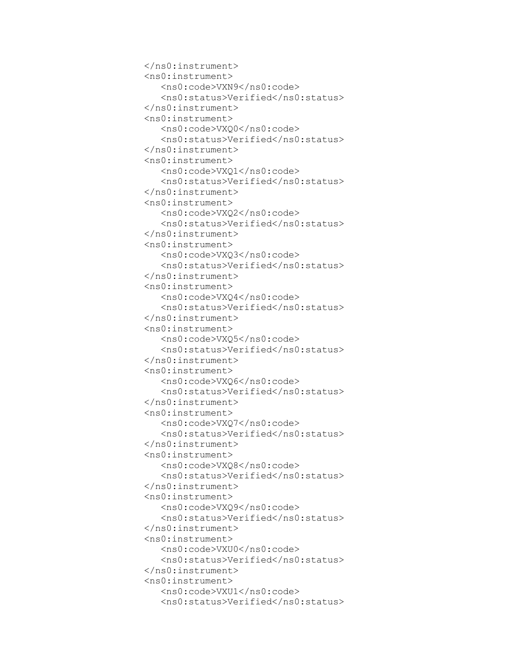```
 </ns0:instrument>
 <ns0:instrument>
    <ns0:code>VXN9</ns0:code>
   <ns0:status>Verified</ns0:status>
 </ns0:instrument>
 <ns0:instrument>
    <ns0:code>VXQ0</ns0:code>
   <ns0:status>Verified</ns0:status>
 </ns0:instrument>
 <ns0:instrument>
    <ns0:code>VXQ1</ns0:code>
    <ns0:status>Verified</ns0:status>
 </ns0:instrument>
 <ns0:instrument>
    <ns0:code>VXQ2</ns0:code>
   <ns0:status>Verified</ns0:status>
 </ns0:instrument>
 <ns0:instrument>
    <ns0:code>VXQ3</ns0:code>
   <ns0:status>Verified</ns0:status>
 </ns0:instrument>
 <ns0:instrument>
    <ns0:code>VXQ4</ns0:code>
   <ns0:status>Verified</ns0:status>
 </ns0:instrument>
 <ns0:instrument>
    <ns0:code>VXQ5</ns0:code>
   <ns0:status>Verified</ns0:status>
 </ns0:instrument>
 <ns0:instrument>
    <ns0:code>VXQ6</ns0:code>
   <ns0:status>Verified</ns0:status>
 </ns0:instrument>
 <ns0:instrument>
    <ns0:code>VXQ7</ns0:code>
   <ns0:status>Verified</ns0:status>
 </ns0:instrument>
 <ns0:instrument>
    <ns0:code>VXQ8</ns0:code>
   <ns0:status>Verified</ns0:status>
 </ns0:instrument>
 <ns0:instrument>
    <ns0:code>VXQ9</ns0:code>
   <ns0:status>Verified</ns0:status>
 </ns0:instrument>
 <ns0:instrument>
    <ns0:code>VXU0</ns0:code>
   <ns0:status>Verified</ns0:status>
 </ns0:instrument>
 <ns0:instrument>
    <ns0:code>VXU1</ns0:code>
   <ns0:status>Verified</ns0:status>
```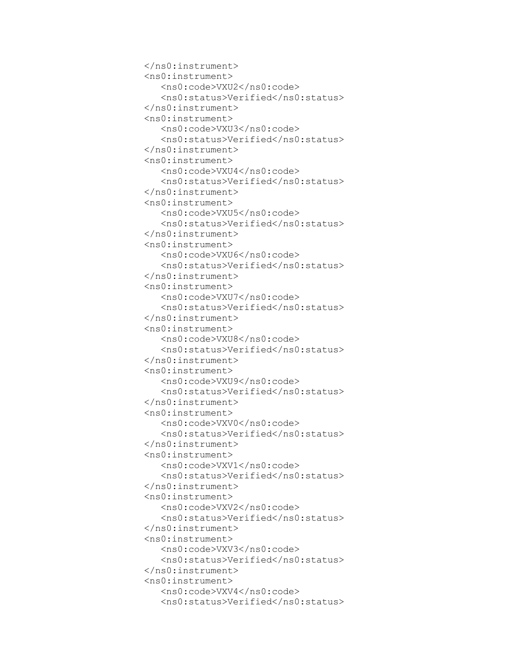```
 </ns0:instrument>
 <ns0:instrument>
    <ns0:code>VXU2</ns0:code>
   <ns0:status>Verified</ns0:status>
 </ns0:instrument>
 <ns0:instrument>
    <ns0:code>VXU3</ns0:code>
   <ns0:status>Verified</ns0:status>
 </ns0:instrument>
 <ns0:instrument>
    <ns0:code>VXU4</ns0:code>
   <ns0:status>Verified</ns0:status>
 </ns0:instrument>
 <ns0:instrument>
    <ns0:code>VXU5</ns0:code>
    <ns0:status>Verified</ns0:status>
 </ns0:instrument>
 <ns0:instrument>
    <ns0:code>VXU6</ns0:code>
   <ns0:status>Verified</ns0:status>
 </ns0:instrument>
 <ns0:instrument>
    <ns0:code>VXU7</ns0:code>
   <ns0:status>Verified</ns0:status>
 </ns0:instrument>
 <ns0:instrument>
    <ns0:code>VXU8</ns0:code>
   <ns0:status>Verified</ns0:status>
 </ns0:instrument>
 <ns0:instrument>
    <ns0:code>VXU9</ns0:code>
   <ns0:status>Verified</ns0:status>
 </ns0:instrument>
 <ns0:instrument>
    <ns0:code>VXV0</ns0:code>
   <ns0:status>Verified</ns0:status>
 </ns0:instrument>
 <ns0:instrument>
    <ns0:code>VXV1</ns0:code>
   <ns0:status>Verified</ns0:status>
 </ns0:instrument>
 <ns0:instrument>
    <ns0:code>VXV2</ns0:code>
   <ns0:status>Verified</ns0:status>
 </ns0:instrument>
 <ns0:instrument>
    <ns0:code>VXV3</ns0:code>
   <ns0:status>Verified</ns0:status>
 </ns0:instrument>
 <ns0:instrument>
    <ns0:code>VXV4</ns0:code>
   <ns0:status>Verified</ns0:status>
```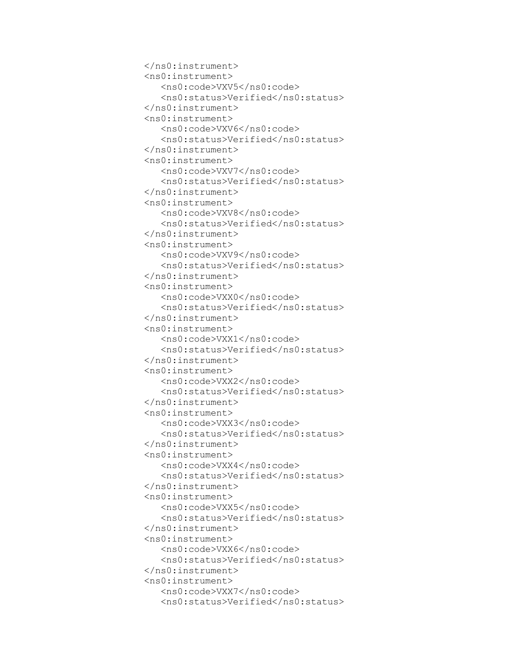```
 </ns0:instrument>
 <ns0:instrument>
    <ns0:code>VXV5</ns0:code>
   <ns0:status>Verified</ns0:status>
 </ns0:instrument>
 <ns0:instrument>
    <ns0:code>VXV6</ns0:code>
   <ns0:status>Verified</ns0:status>
 </ns0:instrument>
 <ns0:instrument>
    <ns0:code>VXV7</ns0:code>
   <ns0:status>Verified</ns0:status>
 </ns0:instrument>
 <ns0:instrument>
    <ns0:code>VXV8</ns0:code>
   <ns0:status>Verified</ns0:status>
 </ns0:instrument>
 <ns0:instrument>
    <ns0:code>VXV9</ns0:code>
    <ns0:status>Verified</ns0:status>
 </ns0:instrument>
 <ns0:instrument>
    <ns0:code>VXX0</ns0:code>
   <ns0:status>Verified</ns0:status>
 </ns0:instrument>
 <ns0:instrument>
    <ns0:code>VXX1</ns0:code>
   <ns0:status>Verified</ns0:status>
 </ns0:instrument>
 <ns0:instrument>
    <ns0:code>VXX2</ns0:code>
   <ns0:status>Verified</ns0:status>
 </ns0:instrument>
 <ns0:instrument>
    <ns0:code>VXX3</ns0:code>
   <ns0:status>Verified</ns0:status>
 </ns0:instrument>
 <ns0:instrument>
    <ns0:code>VXX4</ns0:code>
   <ns0:status>Verified</ns0:status>
 </ns0:instrument>
 <ns0:instrument>
    <ns0:code>VXX5</ns0:code>
   <ns0:status>Verified</ns0:status>
 </ns0:instrument>
 <ns0:instrument>
    <ns0:code>VXX6</ns0:code>
   <ns0:status>Verified</ns0:status>
 </ns0:instrument>
 <ns0:instrument>
    <ns0:code>VXX7</ns0:code>
   <ns0:status>Verified</ns0:status>
```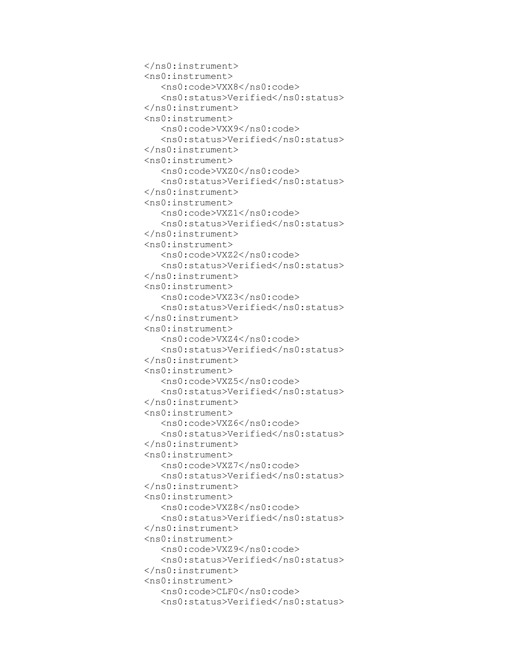```
 </ns0:instrument>
 <ns0:instrument>
    <ns0:code>VXX8</ns0:code>
   <ns0:status>Verified</ns0:status>
 </ns0:instrument>
 <ns0:instrument>
    <ns0:code>VXX9</ns0:code>
   <ns0:status>Verified</ns0:status>
 </ns0:instrument>
 <ns0:instrument>
    <ns0:code>VXZ0</ns0:code>
   <ns0:status>Verified</ns0:status>
 </ns0:instrument>
 <ns0:instrument>
    <ns0:code>VXZ1</ns0:code>
   <ns0:status>Verified</ns0:status>
 </ns0:instrument>
 <ns0:instrument>
    <ns0:code>VXZ2</ns0:code>
   <ns0:status>Verified</ns0:status>
 </ns0:instrument>
 <ns0:instrument>
    <ns0:code>VXZ3</ns0:code>
    <ns0:status>Verified</ns0:status>
 </ns0:instrument>
 <ns0:instrument>
    <ns0:code>VXZ4</ns0:code>
   <ns0:status>Verified</ns0:status>
 </ns0:instrument>
 <ns0:instrument>
    <ns0:code>VXZ5</ns0:code>
   <ns0:status>Verified</ns0:status>
 </ns0:instrument>
 <ns0:instrument>
    <ns0:code>VXZ6</ns0:code>
   <ns0:status>Verified</ns0:status>
 </ns0:instrument>
 <ns0:instrument>
    <ns0:code>VXZ7</ns0:code>
   <ns0:status>Verified</ns0:status>
 </ns0:instrument>
 <ns0:instrument>
    <ns0:code>VXZ8</ns0:code>
   <ns0:status>Verified</ns0:status>
 </ns0:instrument>
 <ns0:instrument>
    <ns0:code>VXZ9</ns0:code>
   <ns0:status>Verified</ns0:status>
 </ns0:instrument>
 <ns0:instrument>
    <ns0:code>CLF0</ns0:code>
   <ns0:status>Verified</ns0:status>
```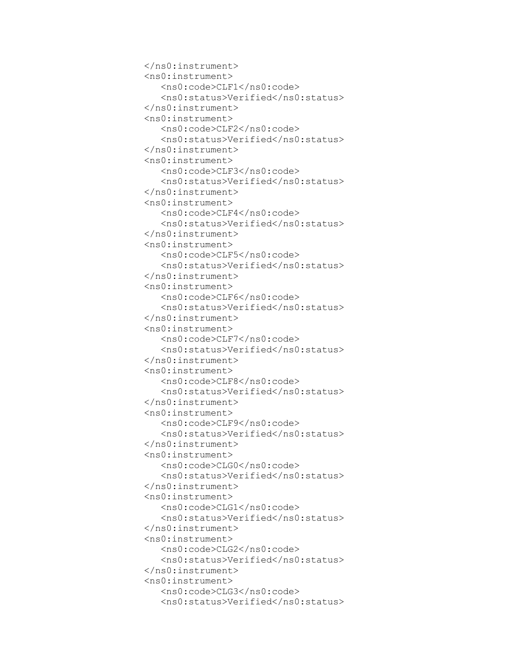```
 </ns0:instrument>
 <ns0:instrument>
    <ns0:code>CLF1</ns0:code>
   <ns0:status>Verified</ns0:status>
 </ns0:instrument>
 <ns0:instrument>
    <ns0:code>CLF2</ns0:code>
   <ns0:status>Verified</ns0:status>
 </ns0:instrument>
 <ns0:instrument>
    <ns0:code>CLF3</ns0:code>
   <ns0:status>Verified</ns0:status>
 </ns0:instrument>
 <ns0:instrument>
    <ns0:code>CLF4</ns0:code>
   <ns0:status>Verified</ns0:status>
 </ns0:instrument>
 <ns0:instrument>
    <ns0:code>CLF5</ns0:code>
   <ns0:status>Verified</ns0:status>
 </ns0:instrument>
 <ns0:instrument>
    <ns0:code>CLF6</ns0:code>
   <ns0:status>Verified</ns0:status>
 </ns0:instrument>
 <ns0:instrument>
    <ns0:code>CLF7</ns0:code>
    <ns0:status>Verified</ns0:status>
 </ns0:instrument>
 <ns0:instrument>
    <ns0:code>CLF8</ns0:code>
   <ns0:status>Verified</ns0:status>
 </ns0:instrument>
 <ns0:instrument>
    <ns0:code>CLF9</ns0:code>
   <ns0:status>Verified</ns0:status>
 </ns0:instrument>
 <ns0:instrument>
    <ns0:code>CLG0</ns0:code>
   <ns0:status>Verified</ns0:status>
 </ns0:instrument>
 <ns0:instrument>
    <ns0:code>CLG1</ns0:code>
   <ns0:status>Verified</ns0:status>
 </ns0:instrument>
 <ns0:instrument>
    <ns0:code>CLG2</ns0:code>
   <ns0:status>Verified</ns0:status>
 </ns0:instrument>
 <ns0:instrument>
    <ns0:code>CLG3</ns0:code>
   <ns0:status>Verified</ns0:status>
```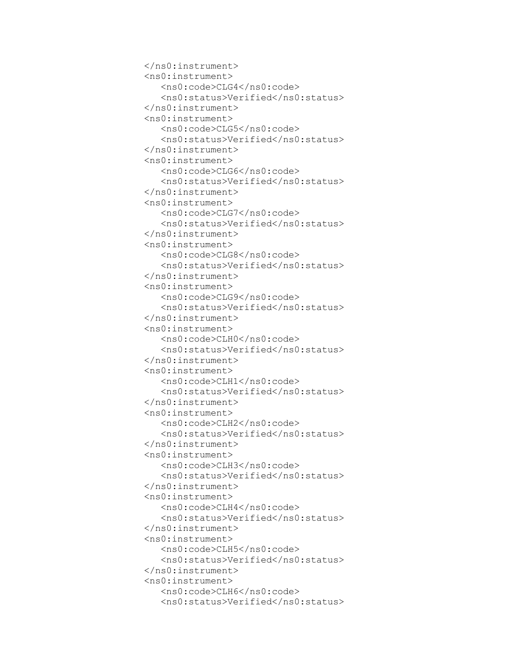```
 </ns0:instrument>
 <ns0:instrument>
    <ns0:code>CLG4</ns0:code>
   <ns0:status>Verified</ns0:status>
 </ns0:instrument>
 <ns0:instrument>
    <ns0:code>CLG5</ns0:code>
   <ns0:status>Verified</ns0:status>
 </ns0:instrument>
 <ns0:instrument>
    <ns0:code>CLG6</ns0:code>
   <ns0:status>Verified</ns0:status>
 </ns0:instrument>
 <ns0:instrument>
    <ns0:code>CLG7</ns0:code>
   <ns0:status>Verified</ns0:status>
 </ns0:instrument>
 <ns0:instrument>
    <ns0:code>CLG8</ns0:code>
   <ns0:status>Verified</ns0:status>
 </ns0:instrument>
 <ns0:instrument>
    <ns0:code>CLG9</ns0:code>
   <ns0:status>Verified</ns0:status>
 </ns0:instrument>
 <ns0:instrument>
    <ns0:code>CLH0</ns0:code>
   <ns0:status>Verified</ns0:status>
 </ns0:instrument>
 <ns0:instrument>
    <ns0:code>CLH1</ns0:code>
    <ns0:status>Verified</ns0:status>
 </ns0:instrument>
 <ns0:instrument>
    <ns0:code>CLH2</ns0:code>
   <ns0:status>Verified</ns0:status>
 </ns0:instrument>
 <ns0:instrument>
    <ns0:code>CLH3</ns0:code>
   <ns0:status>Verified</ns0:status>
 </ns0:instrument>
 <ns0:instrument>
    <ns0:code>CLH4</ns0:code>
   <ns0:status>Verified</ns0:status>
 </ns0:instrument>
 <ns0:instrument>
    <ns0:code>CLH5</ns0:code>
   <ns0:status>Verified</ns0:status>
 </ns0:instrument>
 <ns0:instrument>
    <ns0:code>CLH6</ns0:code>
   <ns0:status>Verified</ns0:status>
```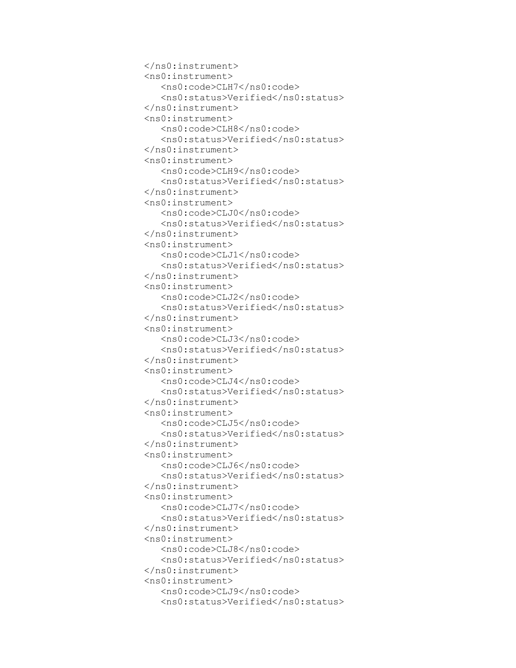```
 </ns0:instrument>
 <ns0:instrument>
    <ns0:code>CLH7</ns0:code>
   <ns0:status>Verified</ns0:status>
 </ns0:instrument>
 <ns0:instrument>
    <ns0:code>CLH8</ns0:code>
   <ns0:status>Verified</ns0:status>
 </ns0:instrument>
 <ns0:instrument>
    <ns0:code>CLH9</ns0:code>
   <ns0:status>Verified</ns0:status>
 </ns0:instrument>
 <ns0:instrument>
    <ns0:code>CLJ0</ns0:code>
   <ns0:status>Verified</ns0:status>
 </ns0:instrument>
 <ns0:instrument>
    <ns0:code>CLJ1</ns0:code>
   <ns0:status>Verified</ns0:status>
 </ns0:instrument>
 <ns0:instrument>
    <ns0:code>CLJ2</ns0:code>
   <ns0:status>Verified</ns0:status>
 </ns0:instrument>
 <ns0:instrument>
    <ns0:code>CLJ3</ns0:code>
   <ns0:status>Verified</ns0:status>
 </ns0:instrument>
 <ns0:instrument>
    <ns0:code>CLJ4</ns0:code>
   <ns0:status>Verified</ns0:status>
 </ns0:instrument>
 <ns0:instrument>
    <ns0:code>CLJ5</ns0:code>
    <ns0:status>Verified</ns0:status>
 </ns0:instrument>
 <ns0:instrument>
    <ns0:code>CLJ6</ns0:code>
   <ns0:status>Verified</ns0:status>
 </ns0:instrument>
 <ns0:instrument>
    <ns0:code>CLJ7</ns0:code>
   <ns0:status>Verified</ns0:status>
 </ns0:instrument>
 <ns0:instrument>
    <ns0:code>CLJ8</ns0:code>
   <ns0:status>Verified</ns0:status>
 </ns0:instrument>
 <ns0:instrument>
    <ns0:code>CLJ9</ns0:code>
   <ns0:status>Verified</ns0:status>
```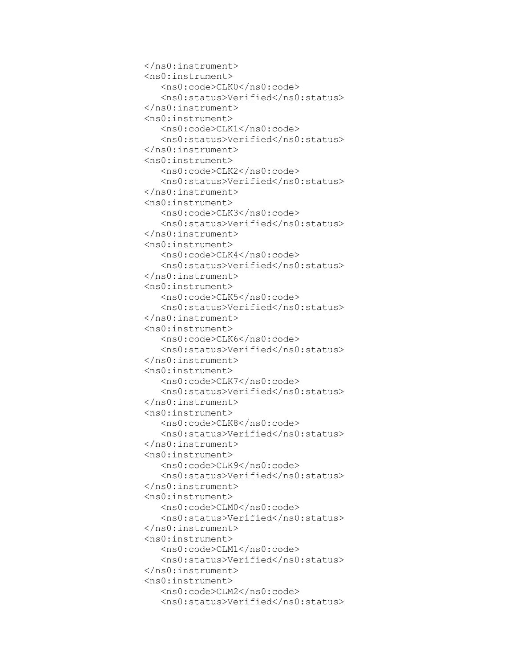```
 </ns0:instrument>
 <ns0:instrument>
    <ns0:code>CLK0</ns0:code>
   <ns0:status>Verified</ns0:status>
 </ns0:instrument>
 <ns0:instrument>
    <ns0:code>CLK1</ns0:code>
   <ns0:status>Verified</ns0:status>
 </ns0:instrument>
 <ns0:instrument>
    <ns0:code>CLK2</ns0:code>
   <ns0:status>Verified</ns0:status>
 </ns0:instrument>
 <ns0:instrument>
    <ns0:code>CLK3</ns0:code>
   <ns0:status>Verified</ns0:status>
 </ns0:instrument>
 <ns0:instrument>
    <ns0:code>CLK4</ns0:code>
   <ns0:status>Verified</ns0:status>
 </ns0:instrument>
 <ns0:instrument>
    <ns0:code>CLK5</ns0:code>
   <ns0:status>Verified</ns0:status>
 </ns0:instrument>
 <ns0:instrument>
    <ns0:code>CLK6</ns0:code>
   <ns0:status>Verified</ns0:status>
 </ns0:instrument>
 <ns0:instrument>
    <ns0:code>CLK7</ns0:code>
   <ns0:status>Verified</ns0:status>
 </ns0:instrument>
 <ns0:instrument>
    <ns0:code>CLK8</ns0:code>
   <ns0:status>Verified</ns0:status>
 </ns0:instrument>
 <ns0:instrument>
    <ns0:code>CLK9</ns0:code>
    <ns0:status>Verified</ns0:status>
 </ns0:instrument>
 <ns0:instrument>
    <ns0:code>CLM0</ns0:code>
   <ns0:status>Verified</ns0:status>
 </ns0:instrument>
 <ns0:instrument>
    <ns0:code>CLM1</ns0:code>
   <ns0:status>Verified</ns0:status>
 </ns0:instrument>
 <ns0:instrument>
    <ns0:code>CLM2</ns0:code>
   <ns0:status>Verified</ns0:status>
```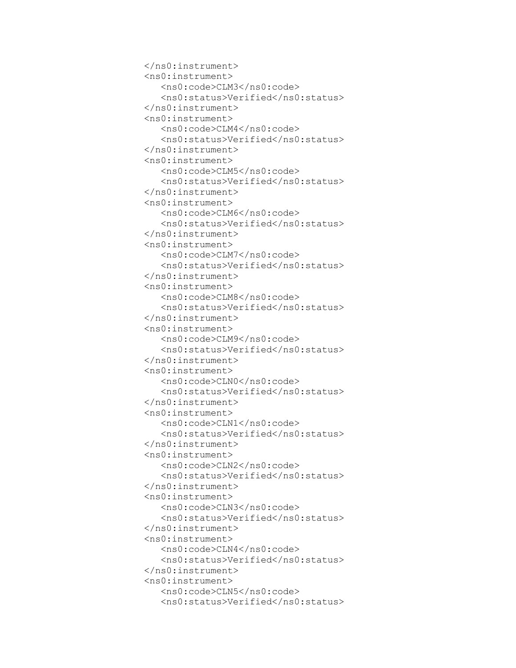```
 </ns0:instrument>
 <ns0:instrument>
    <ns0:code>CLM3</ns0:code>
   <ns0:status>Verified</ns0:status>
 </ns0:instrument>
 <ns0:instrument>
    <ns0:code>CLM4</ns0:code>
   <ns0:status>Verified</ns0:status>
 </ns0:instrument>
 <ns0:instrument>
    <ns0:code>CLM5</ns0:code>
   <ns0:status>Verified</ns0:status>
 </ns0:instrument>
 <ns0:instrument>
    <ns0:code>CLM6</ns0:code>
   <ns0:status>Verified</ns0:status>
 </ns0:instrument>
 <ns0:instrument>
    <ns0:code>CLM7</ns0:code>
   <ns0:status>Verified</ns0:status>
 </ns0:instrument>
 <ns0:instrument>
    <ns0:code>CLM8</ns0:code>
   <ns0:status>Verified</ns0:status>
 </ns0:instrument>
 <ns0:instrument>
    <ns0:code>CLM9</ns0:code>
   <ns0:status>Verified</ns0:status>
 </ns0:instrument>
 <ns0:instrument>
    <ns0:code>CLN0</ns0:code>
   <ns0:status>Verified</ns0:status>
 </ns0:instrument>
 <ns0:instrument>
    <ns0:code>CLN1</ns0:code>
   <ns0:status>Verified</ns0:status>
 </ns0:instrument>
 <ns0:instrument>
    <ns0:code>CLN2</ns0:code>
   <ns0:status>Verified</ns0:status>
 </ns0:instrument>
 <ns0:instrument>
    <ns0:code>CLN3</ns0:code>
    <ns0:status>Verified</ns0:status>
 </ns0:instrument>
 <ns0:instrument>
    <ns0:code>CLN4</ns0:code>
   <ns0:status>Verified</ns0:status>
 </ns0:instrument>
 <ns0:instrument>
    <ns0:code>CLN5</ns0:code>
   <ns0:status>Verified</ns0:status>
```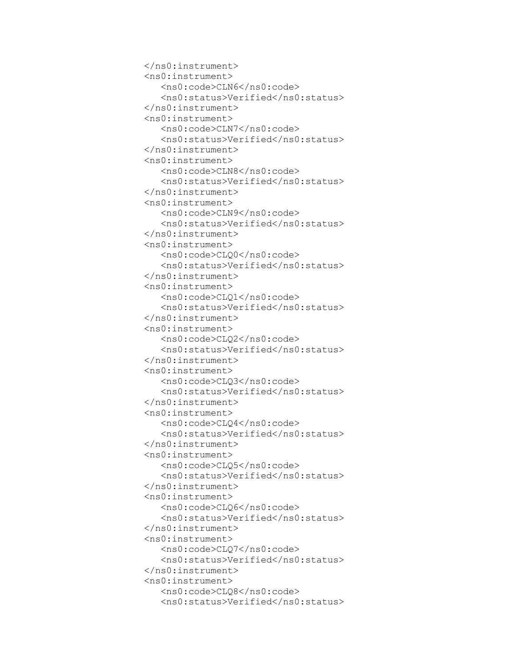```
 </ns0:instrument>
 <ns0:instrument>
    <ns0:code>CLN6</ns0:code>
   <ns0:status>Verified</ns0:status>
 </ns0:instrument>
 <ns0:instrument>
    <ns0:code>CLN7</ns0:code>
   <ns0:status>Verified</ns0:status>
 </ns0:instrument>
 <ns0:instrument>
    <ns0:code>CLN8</ns0:code>
   <ns0:status>Verified</ns0:status>
 </ns0:instrument>
 <ns0:instrument>
    <ns0:code>CLN9</ns0:code>
   <ns0:status>Verified</ns0:status>
 </ns0:instrument>
 <ns0:instrument>
    <ns0:code>CLQ0</ns0:code>
   <ns0:status>Verified</ns0:status>
 </ns0:instrument>
 <ns0:instrument>
    <ns0:code>CLQ1</ns0:code>
   <ns0:status>Verified</ns0:status>
 </ns0:instrument>
 <ns0:instrument>
    <ns0:code>CLQ2</ns0:code>
   <ns0:status>Verified</ns0:status>
 </ns0:instrument>
 <ns0:instrument>
    <ns0:code>CLQ3</ns0:code>
   <ns0:status>Verified</ns0:status>
 </ns0:instrument>
 <ns0:instrument>
    <ns0:code>CLQ4</ns0:code>
   <ns0:status>Verified</ns0:status>
 </ns0:instrument>
 <ns0:instrument>
    <ns0:code>CLQ5</ns0:code>
   <ns0:status>Verified</ns0:status>
 </ns0:instrument>
 <ns0:instrument>
    <ns0:code>CLQ6</ns0:code>
   <ns0:status>Verified</ns0:status>
 </ns0:instrument>
 <ns0:instrument>
    <ns0:code>CLQ7</ns0:code>
    <ns0:status>Verified</ns0:status>
 </ns0:instrument>
 <ns0:instrument>
    <ns0:code>CLQ8</ns0:code>
   <ns0:status>Verified</ns0:status>
```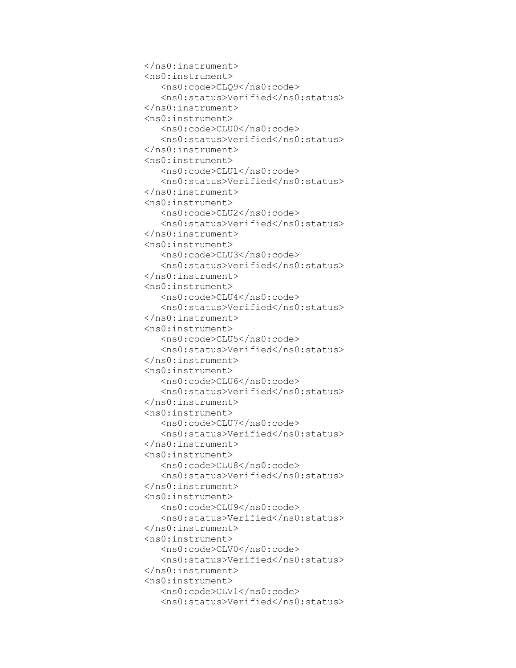```
 </ns0:instrument>
 <ns0:instrument>
    <ns0:code>CLQ9</ns0:code>
   <ns0:status>Verified</ns0:status>
 </ns0:instrument>
 <ns0:instrument>
    <ns0:code>CLU0</ns0:code>
   <ns0:status>Verified</ns0:status>
 </ns0:instrument>
 <ns0:instrument>
    <ns0:code>CLU1</ns0:code>
   <ns0:status>Verified</ns0:status>
 </ns0:instrument>
 <ns0:instrument>
    <ns0:code>CLU2</ns0:code>
   <ns0:status>Verified</ns0:status>
 </ns0:instrument>
 <ns0:instrument>
    <ns0:code>CLU3</ns0:code>
   <ns0:status>Verified</ns0:status>
 </ns0:instrument>
 <ns0:instrument>
    <ns0:code>CLU4</ns0:code>
   <ns0:status>Verified</ns0:status>
 </ns0:instrument>
 <ns0:instrument>
    <ns0:code>CLU5</ns0:code>
   <ns0:status>Verified</ns0:status>
 </ns0:instrument>
 <ns0:instrument>
    <ns0:code>CLU6</ns0:code>
   <ns0:status>Verified</ns0:status>
 </ns0:instrument>
 <ns0:instrument>
    <ns0:code>CLU7</ns0:code>
   <ns0:status>Verified</ns0:status>
 </ns0:instrument>
 <ns0:instrument>
    <ns0:code>CLU8</ns0:code>
   <ns0:status>Verified</ns0:status>
 </ns0:instrument>
 <ns0:instrument>
    <ns0:code>CLU9</ns0:code>
   <ns0:status>Verified</ns0:status>
 </ns0:instrument>
 <ns0:instrument>
    <ns0:code>CLV0</ns0:code>
   <ns0:status>Verified</ns0:status>
 </ns0:instrument>
 <ns0:instrument>
    <ns0:code>CLV1</ns0:code>
    <ns0:status>Verified</ns0:status>
```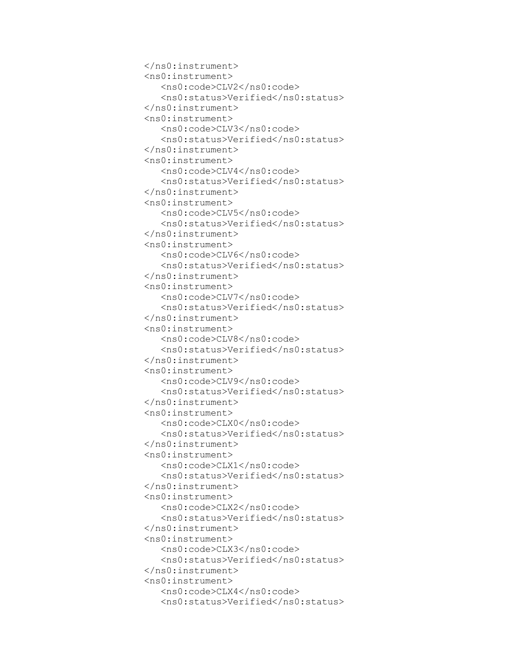```
 </ns0:instrument>
 <ns0:instrument>
    <ns0:code>CLV2</ns0:code>
   <ns0:status>Verified</ns0:status>
 </ns0:instrument>
 <ns0:instrument>
    <ns0:code>CLV3</ns0:code>
   <ns0:status>Verified</ns0:status>
 </ns0:instrument>
 <ns0:instrument>
    <ns0:code>CLV4</ns0:code>
   <ns0:status>Verified</ns0:status>
 </ns0:instrument>
 <ns0:instrument>
    <ns0:code>CLV5</ns0:code>
   <ns0:status>Verified</ns0:status>
 </ns0:instrument>
 <ns0:instrument>
    <ns0:code>CLV6</ns0:code>
   <ns0:status>Verified</ns0:status>
 </ns0:instrument>
 <ns0:instrument>
    <ns0:code>CLV7</ns0:code>
   <ns0:status>Verified</ns0:status>
 </ns0:instrument>
 <ns0:instrument>
    <ns0:code>CLV8</ns0:code>
   <ns0:status>Verified</ns0:status>
 </ns0:instrument>
 <ns0:instrument>
    <ns0:code>CLV9</ns0:code>
   <ns0:status>Verified</ns0:status>
 </ns0:instrument>
 <ns0:instrument>
    <ns0:code>CLX0</ns0:code>
   <ns0:status>Verified</ns0:status>
 </ns0:instrument>
 <ns0:instrument>
    <ns0:code>CLX1</ns0:code>
   <ns0:status>Verified</ns0:status>
 </ns0:instrument>
 <ns0:instrument>
    <ns0:code>CLX2</ns0:code>
   <ns0:status>Verified</ns0:status>
 </ns0:instrument>
 <ns0:instrument>
    <ns0:code>CLX3</ns0:code>
   <ns0:status>Verified</ns0:status>
 </ns0:instrument>
 <ns0:instrument>
    <ns0:code>CLX4</ns0:code>
   <ns0:status>Verified</ns0:status>
```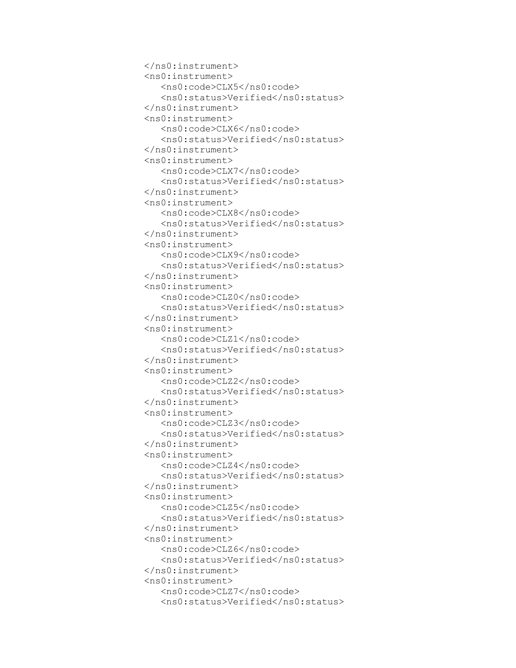```
 </ns0:instrument>
 <ns0:instrument>
    <ns0:code>CLX5</ns0:code>
    <ns0:status>Verified</ns0:status>
 </ns0:instrument>
 <ns0:instrument>
    <ns0:code>CLX6</ns0:code>
   <ns0:status>Verified</ns0:status>
 </ns0:instrument>
 <ns0:instrument>
    <ns0:code>CLX7</ns0:code>
   <ns0:status>Verified</ns0:status>
 </ns0:instrument>
 <ns0:instrument>
    <ns0:code>CLX8</ns0:code>
   <ns0:status>Verified</ns0:status>
 </ns0:instrument>
 <ns0:instrument>
    <ns0:code>CLX9</ns0:code>
   <ns0:status>Verified</ns0:status>
 </ns0:instrument>
 <ns0:instrument>
    <ns0:code>CLZ0</ns0:code>
   <ns0:status>Verified</ns0:status>
 </ns0:instrument>
 <ns0:instrument>
    <ns0:code>CLZ1</ns0:code>
   <ns0:status>Verified</ns0:status>
 </ns0:instrument>
 <ns0:instrument>
    <ns0:code>CLZ2</ns0:code>
   <ns0:status>Verified</ns0:status>
 </ns0:instrument>
 <ns0:instrument>
    <ns0:code>CLZ3</ns0:code>
   <ns0:status>Verified</ns0:status>
 </ns0:instrument>
 <ns0:instrument>
    <ns0:code>CLZ4</ns0:code>
   <ns0:status>Verified</ns0:status>
 </ns0:instrument>
 <ns0:instrument>
    <ns0:code>CLZ5</ns0:code>
   <ns0:status>Verified</ns0:status>
 </ns0:instrument>
 <ns0:instrument>
    <ns0:code>CLZ6</ns0:code>
   <ns0:status>Verified</ns0:status>
 </ns0:instrument>
 <ns0:instrument>
    <ns0:code>CLZ7</ns0:code>
   <ns0:status>Verified</ns0:status>
```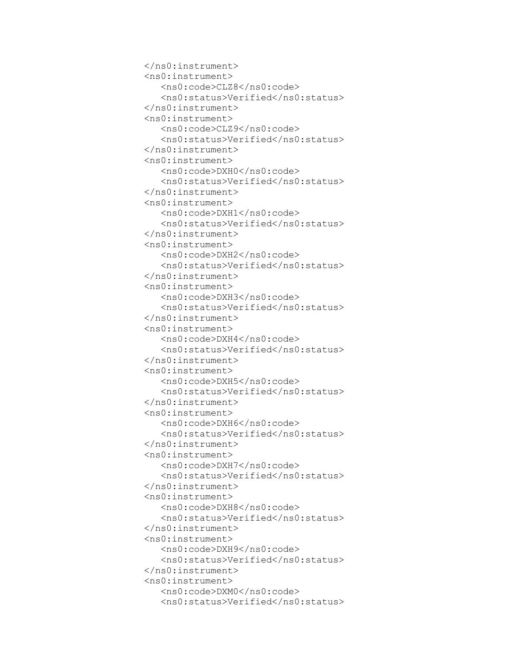```
 </ns0:instrument>
 <ns0:instrument>
    <ns0:code>CLZ8</ns0:code>
   <ns0:status>Verified</ns0:status>
 </ns0:instrument>
 <ns0:instrument>
    <ns0:code>CLZ9</ns0:code>
    <ns0:status>Verified</ns0:status>
 </ns0:instrument>
 <ns0:instrument>
    <ns0:code>DXH0</ns0:code>
   <ns0:status>Verified</ns0:status>
 </ns0:instrument>
 <ns0:instrument>
    <ns0:code>DXH1</ns0:code>
   <ns0:status>Verified</ns0:status>
 </ns0:instrument>
 <ns0:instrument>
    <ns0:code>DXH2</ns0:code>
   <ns0:status>Verified</ns0:status>
 </ns0:instrument>
 <ns0:instrument>
    <ns0:code>DXH3</ns0:code>
   <ns0:status>Verified</ns0:status>
 </ns0:instrument>
 <ns0:instrument>
    <ns0:code>DXH4</ns0:code>
   <ns0:status>Verified</ns0:status>
 </ns0:instrument>
 <ns0:instrument>
    <ns0:code>DXH5</ns0:code>
   <ns0:status>Verified</ns0:status>
 </ns0:instrument>
 <ns0:instrument>
    <ns0:code>DXH6</ns0:code>
   <ns0:status>Verified</ns0:status>
 </ns0:instrument>
 <ns0:instrument>
    <ns0:code>DXH7</ns0:code>
   <ns0:status>Verified</ns0:status>
 </ns0:instrument>
 <ns0:instrument>
    <ns0:code>DXH8</ns0:code>
   <ns0:status>Verified</ns0:status>
 </ns0:instrument>
 <ns0:instrument>
    <ns0:code>DXH9</ns0:code>
   <ns0:status>Verified</ns0:status>
 </ns0:instrument>
 <ns0:instrument>
    <ns0:code>DXM0</ns0:code>
   <ns0:status>Verified</ns0:status>
```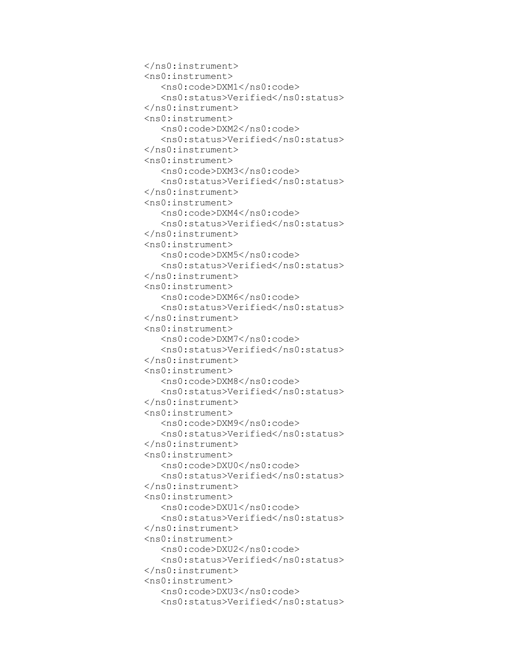```
 </ns0:instrument>
 <ns0:instrument>
    <ns0:code>DXM1</ns0:code>
   <ns0:status>Verified</ns0:status>
 </ns0:instrument>
 <ns0:instrument>
    <ns0:code>DXM2</ns0:code>
   <ns0:status>Verified</ns0:status>
 </ns0:instrument>
 <ns0:instrument>
    <ns0:code>DXM3</ns0:code>
    <ns0:status>Verified</ns0:status>
 </ns0:instrument>
 <ns0:instrument>
    <ns0:code>DXM4</ns0:code>
   <ns0:status>Verified</ns0:status>
 </ns0:instrument>
 <ns0:instrument>
    <ns0:code>DXM5</ns0:code>
   <ns0:status>Verified</ns0:status>
 </ns0:instrument>
 <ns0:instrument>
    <ns0:code>DXM6</ns0:code>
   <ns0:status>Verified</ns0:status>
 </ns0:instrument>
 <ns0:instrument>
    <ns0:code>DXM7</ns0:code>
   <ns0:status>Verified</ns0:status>
 </ns0:instrument>
 <ns0:instrument>
    <ns0:code>DXM8</ns0:code>
   <ns0:status>Verified</ns0:status>
 </ns0:instrument>
 <ns0:instrument>
    <ns0:code>DXM9</ns0:code>
   <ns0:status>Verified</ns0:status>
 </ns0:instrument>
 <ns0:instrument>
    <ns0:code>DXU0</ns0:code>
   <ns0:status>Verified</ns0:status>
 </ns0:instrument>
 <ns0:instrument>
    <ns0:code>DXU1</ns0:code>
   <ns0:status>Verified</ns0:status>
 </ns0:instrument>
 <ns0:instrument>
    <ns0:code>DXU2</ns0:code>
   <ns0:status>Verified</ns0:status>
 </ns0:instrument>
 <ns0:instrument>
    <ns0:code>DXU3</ns0:code>
   <ns0:status>Verified</ns0:status>
```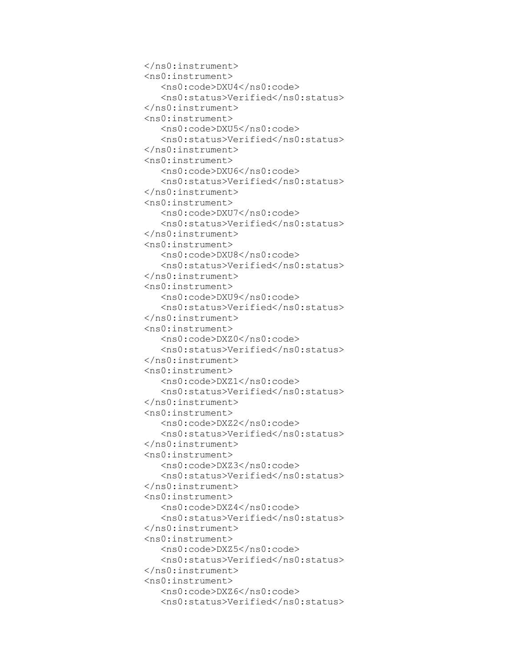```
 </ns0:instrument>
 <ns0:instrument>
    <ns0:code>DXU4</ns0:code>
   <ns0:status>Verified</ns0:status>
 </ns0:instrument>
 <ns0:instrument>
    <ns0:code>DXU5</ns0:code>
   <ns0:status>Verified</ns0:status>
 </ns0:instrument>
 <ns0:instrument>
    <ns0:code>DXU6</ns0:code>
   <ns0:status>Verified</ns0:status>
 </ns0:instrument>
 <ns0:instrument>
    <ns0:code>DXU7</ns0:code>
    <ns0:status>Verified</ns0:status>
 </ns0:instrument>
 <ns0:instrument>
    <ns0:code>DXU8</ns0:code>
   <ns0:status>Verified</ns0:status>
 </ns0:instrument>
 <ns0:instrument>
    <ns0:code>DXU9</ns0:code>
   <ns0:status>Verified</ns0:status>
 </ns0:instrument>
 <ns0:instrument>
    <ns0:code>DXZ0</ns0:code>
   <ns0:status>Verified</ns0:status>
 </ns0:instrument>
 <ns0:instrument>
    <ns0:code>DXZ1</ns0:code>
   <ns0:status>Verified</ns0:status>
 </ns0:instrument>
 <ns0:instrument>
    <ns0:code>DXZ2</ns0:code>
   <ns0:status>Verified</ns0:status>
 </ns0:instrument>
 <ns0:instrument>
    <ns0:code>DXZ3</ns0:code>
   <ns0:status>Verified</ns0:status>
 </ns0:instrument>
 <ns0:instrument>
    <ns0:code>DXZ4</ns0:code>
   <ns0:status>Verified</ns0:status>
 </ns0:instrument>
 <ns0:instrument>
    <ns0:code>DXZ5</ns0:code>
   <ns0:status>Verified</ns0:status>
 </ns0:instrument>
 <ns0:instrument>
    <ns0:code>DXZ6</ns0:code>
   <ns0:status>Verified</ns0:status>
```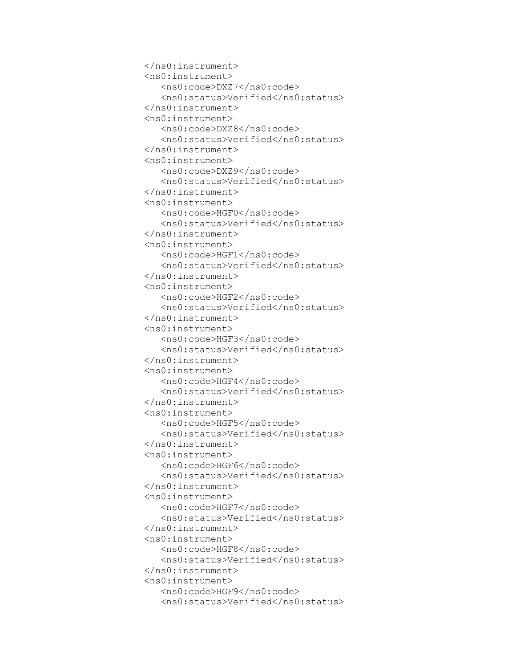```
 </ns0:instrument>
 <ns0:instrument>
    <ns0:code>DXZ7</ns0:code>
   <ns0:status>Verified</ns0:status>
 </ns0:instrument>
 <ns0:instrument>
    <ns0:code>DXZ8</ns0:code>
   <ns0:status>Verified</ns0:status>
 </ns0:instrument>
 <ns0:instrument>
    <ns0:code>DXZ9</ns0:code>
   <ns0:status>Verified</ns0:status>
 </ns0:instrument>
 <ns0:instrument>
    <ns0:code>HGF0</ns0:code>
   <ns0:status>Verified</ns0:status>
 </ns0:instrument>
 <ns0:instrument>
    <ns0:code>HGF1</ns0:code>
    <ns0:status>Verified</ns0:status>
 </ns0:instrument>
 <ns0:instrument>
    <ns0:code>HGF2</ns0:code>
   <ns0:status>Verified</ns0:status>
 </ns0:instrument>
 <ns0:instrument>
    <ns0:code>HGF3</ns0:code>
   <ns0:status>Verified</ns0:status>
 </ns0:instrument>
 <ns0:instrument>
    <ns0:code>HGF4</ns0:code>
   <ns0:status>Verified</ns0:status>
 </ns0:instrument>
 <ns0:instrument>
    <ns0:code>HGF5</ns0:code>
   <ns0:status>Verified</ns0:status>
 </ns0:instrument>
 <ns0:instrument>
    <ns0:code>HGF6</ns0:code>
   <ns0:status>Verified</ns0:status>
 </ns0:instrument>
 <ns0:instrument>
    <ns0:code>HGF7</ns0:code>
   <ns0:status>Verified</ns0:status>
 </ns0:instrument>
 <ns0:instrument>
    <ns0:code>HGF8</ns0:code>
   <ns0:status>Verified</ns0:status>
 </ns0:instrument>
 <ns0:instrument>
    <ns0:code>HGF9</ns0:code>
   <ns0:status>Verified</ns0:status>
```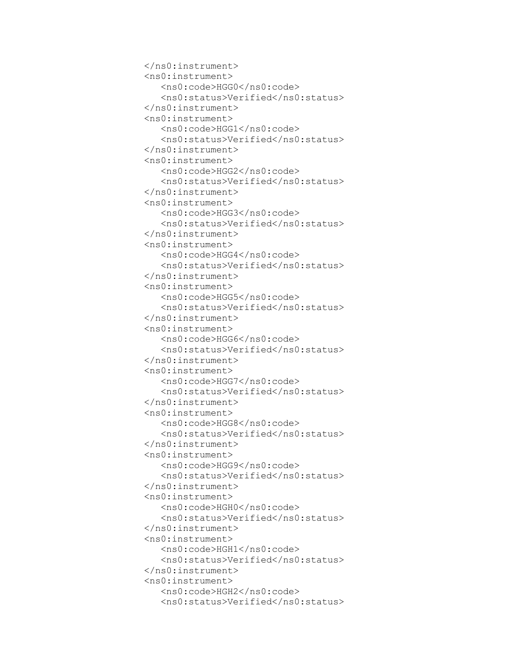```
 </ns0:instrument>
 <ns0:instrument>
    <ns0:code>HGG0</ns0:code>
   <ns0:status>Verified</ns0:status>
 </ns0:instrument>
 <ns0:instrument>
    <ns0:code>HGG1</ns0:code>
   <ns0:status>Verified</ns0:status>
 </ns0:instrument>
 <ns0:instrument>
    <ns0:code>HGG2</ns0:code>
   <ns0:status>Verified</ns0:status>
 </ns0:instrument>
 <ns0:instrument>
    <ns0:code>HGG3</ns0:code>
   <ns0:status>Verified</ns0:status>
 </ns0:instrument>
 <ns0:instrument>
    <ns0:code>HGG4</ns0:code>
   <ns0:status>Verified</ns0:status>
 </ns0:instrument>
 <ns0:instrument>
    <ns0:code>HGG5</ns0:code>
    <ns0:status>Verified</ns0:status>
 </ns0:instrument>
 <ns0:instrument>
    <ns0:code>HGG6</ns0:code>
   <ns0:status>Verified</ns0:status>
 </ns0:instrument>
 <ns0:instrument>
    <ns0:code>HGG7</ns0:code>
   <ns0:status>Verified</ns0:status>
 </ns0:instrument>
 <ns0:instrument>
    <ns0:code>HGG8</ns0:code>
   <ns0:status>Verified</ns0:status>
 </ns0:instrument>
 <ns0:instrument>
    <ns0:code>HGG9</ns0:code>
   <ns0:status>Verified</ns0:status>
 </ns0:instrument>
 <ns0:instrument>
    <ns0:code>HGH0</ns0:code>
   <ns0:status>Verified</ns0:status>
 </ns0:instrument>
 <ns0:instrument>
    <ns0:code>HGH1</ns0:code>
   <ns0:status>Verified</ns0:status>
 </ns0:instrument>
 <ns0:instrument>
    <ns0:code>HGH2</ns0:code>
   <ns0:status>Verified</ns0:status>
```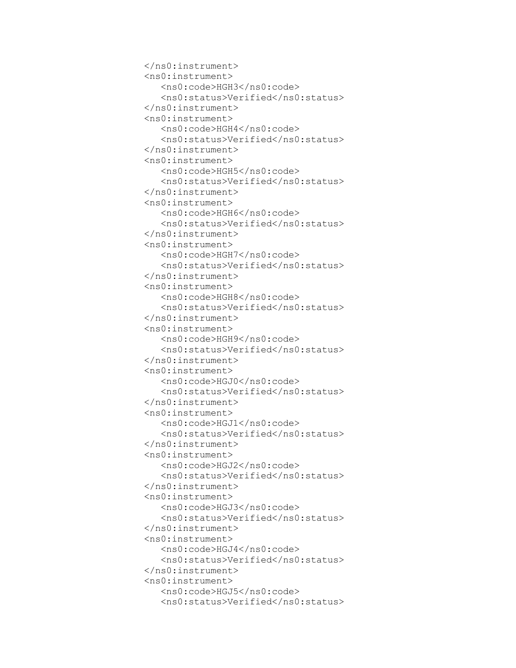```
 </ns0:instrument>
 <ns0:instrument>
    <ns0:code>HGH3</ns0:code>
   <ns0:status>Verified</ns0:status>
 </ns0:instrument>
 <ns0:instrument>
    <ns0:code>HGH4</ns0:code>
   <ns0:status>Verified</ns0:status>
 </ns0:instrument>
 <ns0:instrument>
    <ns0:code>HGH5</ns0:code>
   <ns0:status>Verified</ns0:status>
 </ns0:instrument>
 <ns0:instrument>
    <ns0:code>HGH6</ns0:code>
   <ns0:status>Verified</ns0:status>
 </ns0:instrument>
 <ns0:instrument>
    <ns0:code>HGH7</ns0:code>
   <ns0:status>Verified</ns0:status>
 </ns0:instrument>
 <ns0:instrument>
    <ns0:code>HGH8</ns0:code>
   <ns0:status>Verified</ns0:status>
 </ns0:instrument>
 <ns0:instrument>
    <ns0:code>HGH9</ns0:code>
    <ns0:status>Verified</ns0:status>
 </ns0:instrument>
 <ns0:instrument>
    <ns0:code>HGJ0</ns0:code>
   <ns0:status>Verified</ns0:status>
 </ns0:instrument>
 <ns0:instrument>
    <ns0:code>HGJ1</ns0:code>
   <ns0:status>Verified</ns0:status>
 </ns0:instrument>
 <ns0:instrument>
    <ns0:code>HGJ2</ns0:code>
   <ns0:status>Verified</ns0:status>
 </ns0:instrument>
 <ns0:instrument>
    <ns0:code>HGJ3</ns0:code>
   <ns0:status>Verified</ns0:status>
 </ns0:instrument>
 <ns0:instrument>
    <ns0:code>HGJ4</ns0:code>
   <ns0:status>Verified</ns0:status>
 </ns0:instrument>
 <ns0:instrument>
    <ns0:code>HGJ5</ns0:code>
   <ns0:status>Verified</ns0:status>
```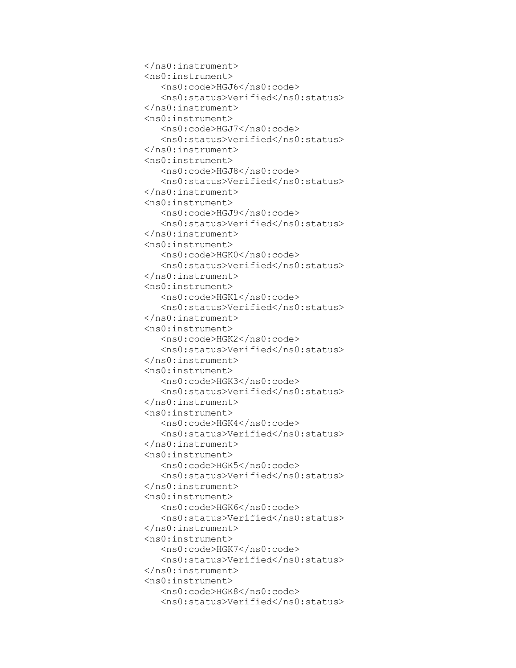```
 </ns0:instrument>
 <ns0:instrument>
    <ns0:code>HGJ6</ns0:code>
   <ns0:status>Verified</ns0:status>
 </ns0:instrument>
 <ns0:instrument>
    <ns0:code>HGJ7</ns0:code>
   <ns0:status>Verified</ns0:status>
 </ns0:instrument>
 <ns0:instrument>
    <ns0:code>HGJ8</ns0:code>
   <ns0:status>Verified</ns0:status>
 </ns0:instrument>
 <ns0:instrument>
    <ns0:code>HGJ9</ns0:code>
   <ns0:status>Verified</ns0:status>
 </ns0:instrument>
 <ns0:instrument>
    <ns0:code>HGK0</ns0:code>
   <ns0:status>Verified</ns0:status>
 </ns0:instrument>
 <ns0:instrument>
    <ns0:code>HGK1</ns0:code>
   <ns0:status>Verified</ns0:status>
 </ns0:instrument>
 <ns0:instrument>
    <ns0:code>HGK2</ns0:code>
   <ns0:status>Verified</ns0:status>
 </ns0:instrument>
 <ns0:instrument>
    <ns0:code>HGK3</ns0:code>
    <ns0:status>Verified</ns0:status>
 </ns0:instrument>
 <ns0:instrument>
    <ns0:code>HGK4</ns0:code>
   <ns0:status>Verified</ns0:status>
 </ns0:instrument>
 <ns0:instrument>
    <ns0:code>HGK5</ns0:code>
   <ns0:status>Verified</ns0:status>
 </ns0:instrument>
 <ns0:instrument>
    <ns0:code>HGK6</ns0:code>
   <ns0:status>Verified</ns0:status>
 </ns0:instrument>
 <ns0:instrument>
    <ns0:code>HGK7</ns0:code>
   <ns0:status>Verified</ns0:status>
 </ns0:instrument>
 <ns0:instrument>
    <ns0:code>HGK8</ns0:code>
   <ns0:status>Verified</ns0:status>
```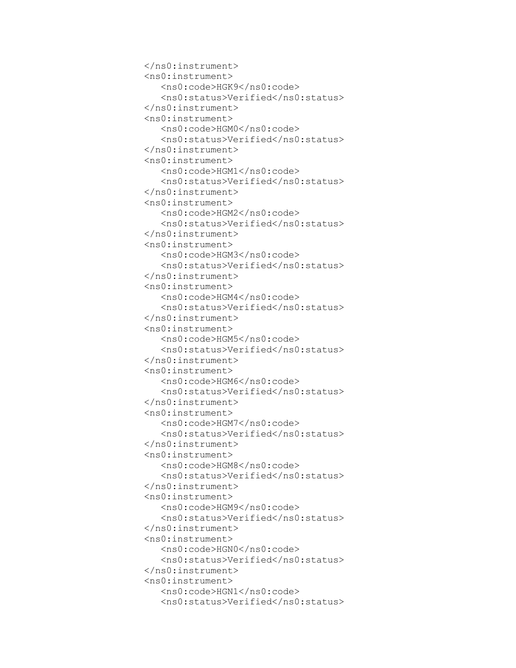```
 </ns0:instrument>
 <ns0:instrument>
    <ns0:code>HGK9</ns0:code>
   <ns0:status>Verified</ns0:status>
 </ns0:instrument>
 <ns0:instrument>
    <ns0:code>HGM0</ns0:code>
   <ns0:status>Verified</ns0:status>
 </ns0:instrument>
 <ns0:instrument>
    <ns0:code>HGM1</ns0:code>
   <ns0:status>Verified</ns0:status>
 </ns0:instrument>
 <ns0:instrument>
    <ns0:code>HGM2</ns0:code>
   <ns0:status>Verified</ns0:status>
 </ns0:instrument>
 <ns0:instrument>
    <ns0:code>HGM3</ns0:code>
   <ns0:status>Verified</ns0:status>
 </ns0:instrument>
 <ns0:instrument>
    <ns0:code>HGM4</ns0:code>
   <ns0:status>Verified</ns0:status>
 </ns0:instrument>
 <ns0:instrument>
    <ns0:code>HGM5</ns0:code>
   <ns0:status>Verified</ns0:status>
 </ns0:instrument>
 <ns0:instrument>
    <ns0:code>HGM6</ns0:code>
   <ns0:status>Verified</ns0:status>
 </ns0:instrument>
 <ns0:instrument>
    <ns0:code>HGM7</ns0:code>
    <ns0:status>Verified</ns0:status>
 </ns0:instrument>
 <ns0:instrument>
    <ns0:code>HGM8</ns0:code>
   <ns0:status>Verified</ns0:status>
 </ns0:instrument>
 <ns0:instrument>
    <ns0:code>HGM9</ns0:code>
   <ns0:status>Verified</ns0:status>
 </ns0:instrument>
 <ns0:instrument>
    <ns0:code>HGN0</ns0:code>
   <ns0:status>Verified</ns0:status>
 </ns0:instrument>
 <ns0:instrument>
    <ns0:code>HGN1</ns0:code>
   <ns0:status>Verified</ns0:status>
```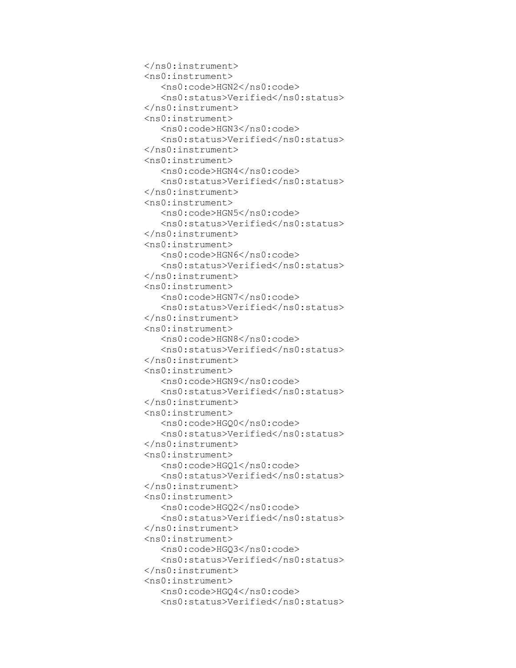```
 </ns0:instrument>
 <ns0:instrument>
    <ns0:code>HGN2</ns0:code>
   <ns0:status>Verified</ns0:status>
 </ns0:instrument>
 <ns0:instrument>
    <ns0:code>HGN3</ns0:code>
   <ns0:status>Verified</ns0:status>
 </ns0:instrument>
 <ns0:instrument>
    <ns0:code>HGN4</ns0:code>
   <ns0:status>Verified</ns0:status>
 </ns0:instrument>
 <ns0:instrument>
    <ns0:code>HGN5</ns0:code>
   <ns0:status>Verified</ns0:status>
 </ns0:instrument>
 <ns0:instrument>
    <ns0:code>HGN6</ns0:code>
   <ns0:status>Verified</ns0:status>
 </ns0:instrument>
 <ns0:instrument>
    <ns0:code>HGN7</ns0:code>
   <ns0:status>Verified</ns0:status>
 </ns0:instrument>
 <ns0:instrument>
    <ns0:code>HGN8</ns0:code>
   <ns0:status>Verified</ns0:status>
 </ns0:instrument>
 <ns0:instrument>
    <ns0:code>HGN9</ns0:code>
   <ns0:status>Verified</ns0:status>
 </ns0:instrument>
 <ns0:instrument>
    <ns0:code>HGQ0</ns0:code>
   <ns0:status>Verified</ns0:status>
 </ns0:instrument>
 <ns0:instrument>
    <ns0:code>HGQ1</ns0:code>
    <ns0:status>Verified</ns0:status>
 </ns0:instrument>
 <ns0:instrument>
    <ns0:code>HGQ2</ns0:code>
   <ns0:status>Verified</ns0:status>
 </ns0:instrument>
 <ns0:instrument>
    <ns0:code>HGQ3</ns0:code>
   <ns0:status>Verified</ns0:status>
 </ns0:instrument>
 <ns0:instrument>
    <ns0:code>HGQ4</ns0:code>
   <ns0:status>Verified</ns0:status>
```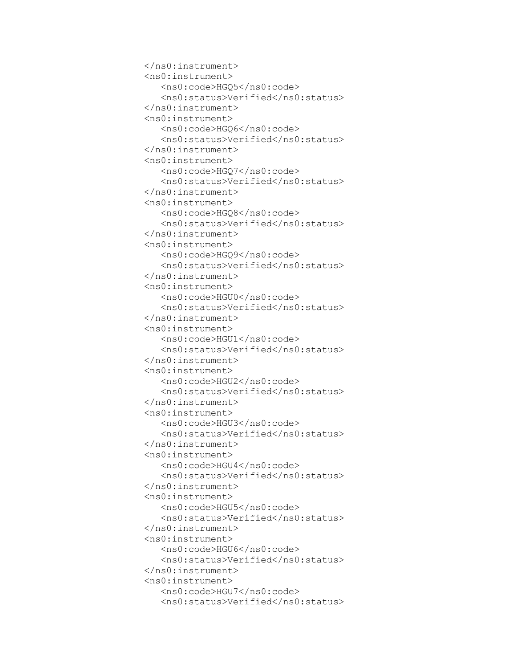```
 </ns0:instrument>
 <ns0:instrument>
    <ns0:code>HGQ5</ns0:code>
   <ns0:status>Verified</ns0:status>
 </ns0:instrument>
 <ns0:instrument>
    <ns0:code>HGQ6</ns0:code>
   <ns0:status>Verified</ns0:status>
 </ns0:instrument>
 <ns0:instrument>
    <ns0:code>HGQ7</ns0:code>
   <ns0:status>Verified</ns0:status>
 </ns0:instrument>
 <ns0:instrument>
    <ns0:code>HGQ8</ns0:code>
   <ns0:status>Verified</ns0:status>
 </ns0:instrument>
 <ns0:instrument>
    <ns0:code>HGQ9</ns0:code>
   <ns0:status>Verified</ns0:status>
 </ns0:instrument>
 <ns0:instrument>
    <ns0:code>HGU0</ns0:code>
   <ns0:status>Verified</ns0:status>
 </ns0:instrument>
 <ns0:instrument>
    <ns0:code>HGU1</ns0:code>
   <ns0:status>Verified</ns0:status>
 </ns0:instrument>
 <ns0:instrument>
    <ns0:code>HGU2</ns0:code>
   <ns0:status>Verified</ns0:status>
 </ns0:instrument>
 <ns0:instrument>
    <ns0:code>HGU3</ns0:code>
   <ns0:status>Verified</ns0:status>
 </ns0:instrument>
 <ns0:instrument>
    <ns0:code>HGU4</ns0:code>
   <ns0:status>Verified</ns0:status>
 </ns0:instrument>
 <ns0:instrument>
    <ns0:code>HGU5</ns0:code>
    <ns0:status>Verified</ns0:status>
 </ns0:instrument>
 <ns0:instrument>
    <ns0:code>HGU6</ns0:code>
   <ns0:status>Verified</ns0:status>
 </ns0:instrument>
 <ns0:instrument>
    <ns0:code>HGU7</ns0:code>
   <ns0:status>Verified</ns0:status>
```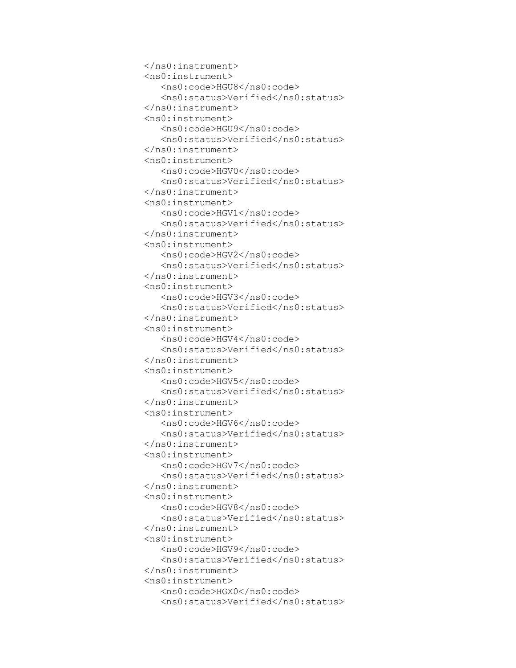```
 </ns0:instrument>
 <ns0:instrument>
    <ns0:code>HGU8</ns0:code>
   <ns0:status>Verified</ns0:status>
 </ns0:instrument>
 <ns0:instrument>
    <ns0:code>HGU9</ns0:code>
   <ns0:status>Verified</ns0:status>
 </ns0:instrument>
 <ns0:instrument>
    <ns0:code>HGV0</ns0:code>
   <ns0:status>Verified</ns0:status>
 </ns0:instrument>
 <ns0:instrument>
    <ns0:code>HGV1</ns0:code>
   <ns0:status>Verified</ns0:status>
 </ns0:instrument>
 <ns0:instrument>
    <ns0:code>HGV2</ns0:code>
   <ns0:status>Verified</ns0:status>
 </ns0:instrument>
 <ns0:instrument>
    <ns0:code>HGV3</ns0:code>
   <ns0:status>Verified</ns0:status>
 </ns0:instrument>
 <ns0:instrument>
    <ns0:code>HGV4</ns0:code>
   <ns0:status>Verified</ns0:status>
 </ns0:instrument>
 <ns0:instrument>
    <ns0:code>HGV5</ns0:code>
   <ns0:status>Verified</ns0:status>
 </ns0:instrument>
 <ns0:instrument>
    <ns0:code>HGV6</ns0:code>
   <ns0:status>Verified</ns0:status>
 </ns0:instrument>
 <ns0:instrument>
    <ns0:code>HGV7</ns0:code>
   <ns0:status>Verified</ns0:status>
 </ns0:instrument>
 <ns0:instrument>
    <ns0:code>HGV8</ns0:code>
   <ns0:status>Verified</ns0:status>
 </ns0:instrument>
 <ns0:instrument>
    <ns0:code>HGV9</ns0:code>
    <ns0:status>Verified</ns0:status>
 </ns0:instrument>
 <ns0:instrument>
    <ns0:code>HGX0</ns0:code>
   <ns0:status>Verified</ns0:status>
```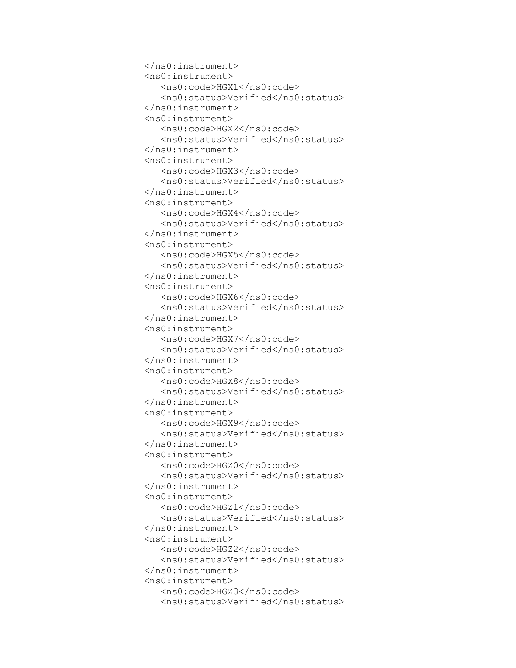```
 </ns0:instrument>
 <ns0:instrument>
    <ns0:code>HGX1</ns0:code>
   <ns0:status>Verified</ns0:status>
 </ns0:instrument>
 <ns0:instrument>
    <ns0:code>HGX2</ns0:code>
   <ns0:status>Verified</ns0:status>
 </ns0:instrument>
 <ns0:instrument>
    <ns0:code>HGX3</ns0:code>
   <ns0:status>Verified</ns0:status>
 </ns0:instrument>
 <ns0:instrument>
    <ns0:code>HGX4</ns0:code>
   <ns0:status>Verified</ns0:status>
 </ns0:instrument>
 <ns0:instrument>
    <ns0:code>HGX5</ns0:code>
   <ns0:status>Verified</ns0:status>
 </ns0:instrument>
 <ns0:instrument>
    <ns0:code>HGX6</ns0:code>
   <ns0:status>Verified</ns0:status>
 </ns0:instrument>
 <ns0:instrument>
    <ns0:code>HGX7</ns0:code>
   <ns0:status>Verified</ns0:status>
 </ns0:instrument>
 <ns0:instrument>
    <ns0:code>HGX8</ns0:code>
   <ns0:status>Verified</ns0:status>
 </ns0:instrument>
 <ns0:instrument>
    <ns0:code>HGX9</ns0:code>
   <ns0:status>Verified</ns0:status>
 </ns0:instrument>
 <ns0:instrument>
    <ns0:code>HGZ0</ns0:code>
   <ns0:status>Verified</ns0:status>
 </ns0:instrument>
 <ns0:instrument>
    <ns0:code>HGZ1</ns0:code>
   <ns0:status>Verified</ns0:status>
 </ns0:instrument>
 <ns0:instrument>
    <ns0:code>HGZ2</ns0:code>
   <ns0:status>Verified</ns0:status>
 </ns0:instrument>
 <ns0:instrument>
    <ns0:code>HGZ3</ns0:code>
    <ns0:status>Verified</ns0:status>
```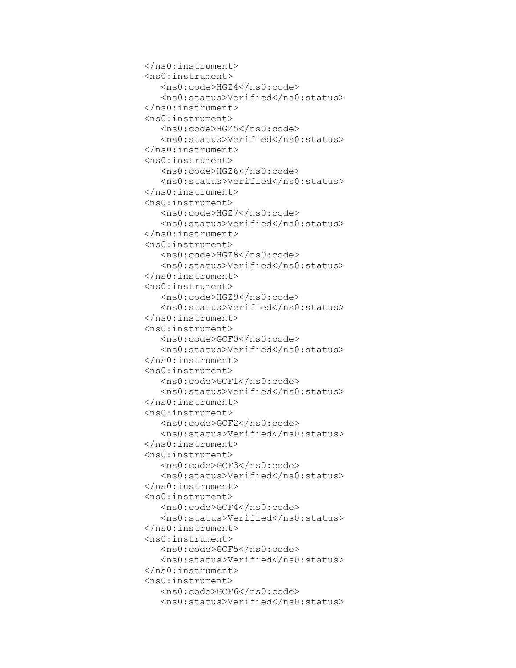```
 </ns0:instrument>
 <ns0:instrument>
    <ns0:code>HGZ4</ns0:code>
   <ns0:status>Verified</ns0:status>
 </ns0:instrument>
 <ns0:instrument>
    <ns0:code>HGZ5</ns0:code>
   <ns0:status>Verified</ns0:status>
 </ns0:instrument>
 <ns0:instrument>
    <ns0:code>HGZ6</ns0:code>
   <ns0:status>Verified</ns0:status>
 </ns0:instrument>
 <ns0:instrument>
    <ns0:code>HGZ7</ns0:code>
   <ns0:status>Verified</ns0:status>
 </ns0:instrument>
 <ns0:instrument>
    <ns0:code>HGZ8</ns0:code>
   <ns0:status>Verified</ns0:status>
 </ns0:instrument>
 <ns0:instrument>
    <ns0:code>HGZ9</ns0:code>
   <ns0:status>Verified</ns0:status>
 </ns0:instrument>
 <ns0:instrument>
    <ns0:code>GCF0</ns0:code>
   <ns0:status>Verified</ns0:status>
 </ns0:instrument>
 <ns0:instrument>
    <ns0:code>GCF1</ns0:code>
   <ns0:status>Verified</ns0:status>
 </ns0:instrument>
 <ns0:instrument>
    <ns0:code>GCF2</ns0:code>
   <ns0:status>Verified</ns0:status>
 </ns0:instrument>
 <ns0:instrument>
    <ns0:code>GCF3</ns0:code>
   <ns0:status>Verified</ns0:status>
 </ns0:instrument>
 <ns0:instrument>
    <ns0:code>GCF4</ns0:code>
   <ns0:status>Verified</ns0:status>
 </ns0:instrument>
 <ns0:instrument>
    <ns0:code>GCF5</ns0:code>
   <ns0:status>Verified</ns0:status>
 </ns0:instrument>
 <ns0:instrument>
    <ns0:code>GCF6</ns0:code>
   <ns0:status>Verified</ns0:status>
```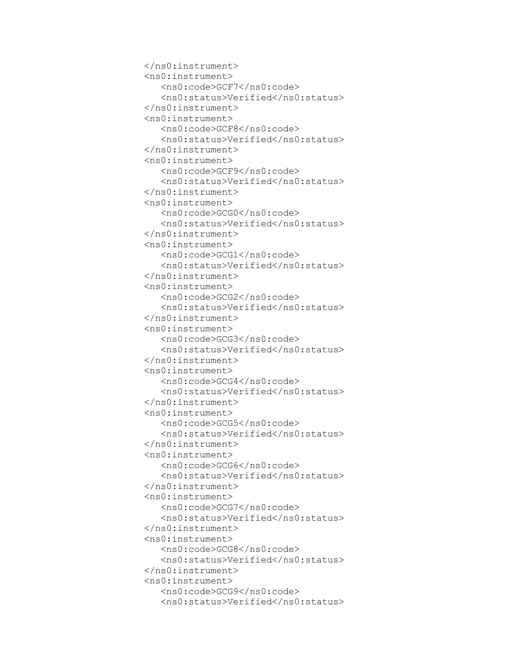```
 </ns0:instrument>
 <ns0:instrument>
    <ns0:code>GCF7</ns0:code>
    <ns0:status>Verified</ns0:status>
 </ns0:instrument>
 <ns0:instrument>
    <ns0:code>GCF8</ns0:code>
   <ns0:status>Verified</ns0:status>
 </ns0:instrument>
 <ns0:instrument>
    <ns0:code>GCF9</ns0:code>
   <ns0:status>Verified</ns0:status>
 </ns0:instrument>
 <ns0:instrument>
    <ns0:code>GCG0</ns0:code>
   <ns0:status>Verified</ns0:status>
 </ns0:instrument>
 <ns0:instrument>
    <ns0:code>GCG1</ns0:code>
   <ns0:status>Verified</ns0:status>
 </ns0:instrument>
 <ns0:instrument>
    <ns0:code>GCG2</ns0:code>
   <ns0:status>Verified</ns0:status>
 </ns0:instrument>
 <ns0:instrument>
    <ns0:code>GCG3</ns0:code>
   <ns0:status>Verified</ns0:status>
 </ns0:instrument>
 <ns0:instrument>
    <ns0:code>GCG4</ns0:code>
   <ns0:status>Verified</ns0:status>
 </ns0:instrument>
 <ns0:instrument>
    <ns0:code>GCG5</ns0:code>
   <ns0:status>Verified</ns0:status>
 </ns0:instrument>
 <ns0:instrument>
    <ns0:code>GCG6</ns0:code>
   <ns0:status>Verified</ns0:status>
 </ns0:instrument>
 <ns0:instrument>
    <ns0:code>GCG7</ns0:code>
   <ns0:status>Verified</ns0:status>
 </ns0:instrument>
 <ns0:instrument>
    <ns0:code>GCG8</ns0:code>
   <ns0:status>Verified</ns0:status>
 </ns0:instrument>
 <ns0:instrument>
    <ns0:code>GCG9</ns0:code>
   <ns0:status>Verified</ns0:status>
```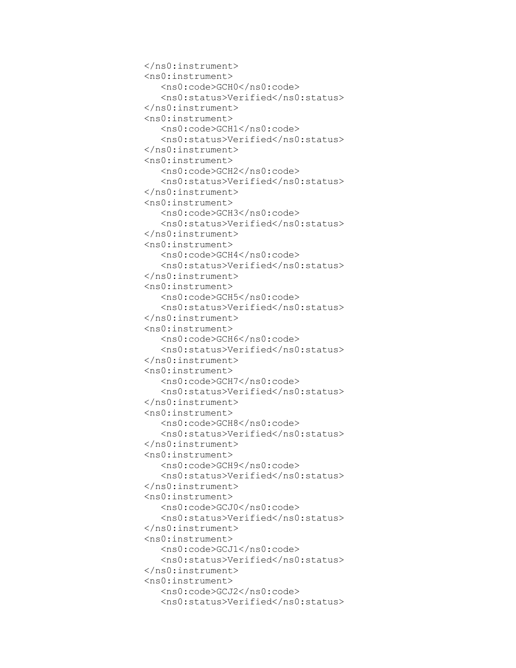```
 </ns0:instrument>
 <ns0:instrument>
    <ns0:code>GCH0</ns0:code>
   <ns0:status>Verified</ns0:status>
 </ns0:instrument>
 <ns0:instrument>
    <ns0:code>GCH1</ns0:code>
    <ns0:status>Verified</ns0:status>
 </ns0:instrument>
 <ns0:instrument>
    <ns0:code>GCH2</ns0:code>
   <ns0:status>Verified</ns0:status>
 </ns0:instrument>
 <ns0:instrument>
    <ns0:code>GCH3</ns0:code>
   <ns0:status>Verified</ns0:status>
 </ns0:instrument>
 <ns0:instrument>
    <ns0:code>GCH4</ns0:code>
   <ns0:status>Verified</ns0:status>
 </ns0:instrument>
 <ns0:instrument>
    <ns0:code>GCH5</ns0:code>
   <ns0:status>Verified</ns0:status>
 </ns0:instrument>
 <ns0:instrument>
    <ns0:code>GCH6</ns0:code>
   <ns0:status>Verified</ns0:status>
 </ns0:instrument>
 <ns0:instrument>
    <ns0:code>GCH7</ns0:code>
   <ns0:status>Verified</ns0:status>
 </ns0:instrument>
 <ns0:instrument>
    <ns0:code>GCH8</ns0:code>
   <ns0:status>Verified</ns0:status>
 </ns0:instrument>
 <ns0:instrument>
    <ns0:code>GCH9</ns0:code>
   <ns0:status>Verified</ns0:status>
 </ns0:instrument>
 <ns0:instrument>
    <ns0:code>GCJ0</ns0:code>
   <ns0:status>Verified</ns0:status>
 </ns0:instrument>
 <ns0:instrument>
    <ns0:code>GCJ1</ns0:code>
   <ns0:status>Verified</ns0:status>
 </ns0:instrument>
 <ns0:instrument>
    <ns0:code>GCJ2</ns0:code>
   <ns0:status>Verified</ns0:status>
```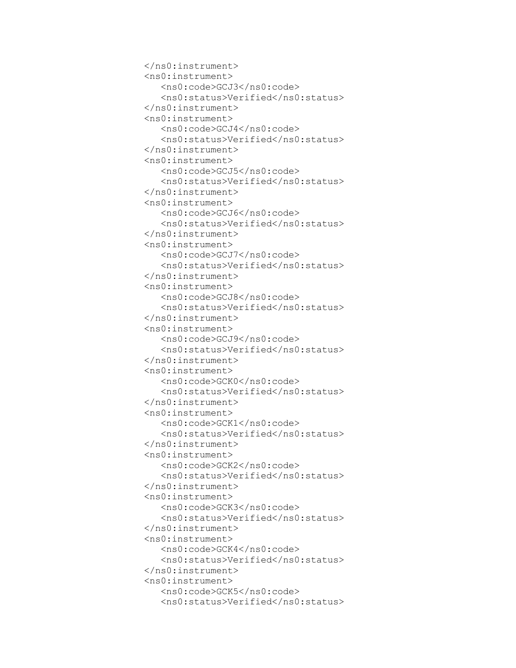```
 </ns0:instrument>
 <ns0:instrument>
    <ns0:code>GCJ3</ns0:code>
   <ns0:status>Verified</ns0:status>
 </ns0:instrument>
 <ns0:instrument>
    <ns0:code>GCJ4</ns0:code>
   <ns0:status>Verified</ns0:status>
 </ns0:instrument>
 <ns0:instrument>
    <ns0:code>GCJ5</ns0:code>
    <ns0:status>Verified</ns0:status>
 </ns0:instrument>
 <ns0:instrument>
    <ns0:code>GCJ6</ns0:code>
   <ns0:status>Verified</ns0:status>
 </ns0:instrument>
 <ns0:instrument>
    <ns0:code>GCJ7</ns0:code>
   <ns0:status>Verified</ns0:status>
 </ns0:instrument>
 <ns0:instrument>
    <ns0:code>GCJ8</ns0:code>
   <ns0:status>Verified</ns0:status>
 </ns0:instrument>
 <ns0:instrument>
    <ns0:code>GCJ9</ns0:code>
   <ns0:status>Verified</ns0:status>
 </ns0:instrument>
 <ns0:instrument>
    <ns0:code>GCK0</ns0:code>
   <ns0:status>Verified</ns0:status>
 </ns0:instrument>
 <ns0:instrument>
    <ns0:code>GCK1</ns0:code>
   <ns0:status>Verified</ns0:status>
 </ns0:instrument>
 <ns0:instrument>
    <ns0:code>GCK2</ns0:code>
   <ns0:status>Verified</ns0:status>
 </ns0:instrument>
 <ns0:instrument>
    <ns0:code>GCK3</ns0:code>
   <ns0:status>Verified</ns0:status>
 </ns0:instrument>
 <ns0:instrument>
    <ns0:code>GCK4</ns0:code>
   <ns0:status>Verified</ns0:status>
 </ns0:instrument>
 <ns0:instrument>
    <ns0:code>GCK5</ns0:code>
   <ns0:status>Verified</ns0:status>
```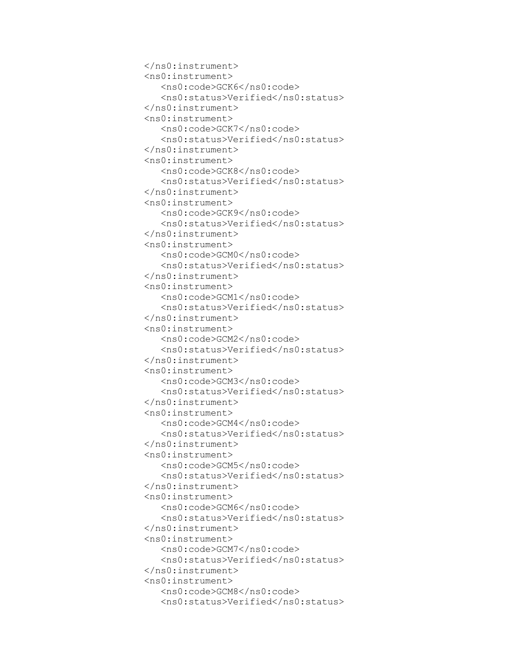```
 </ns0:instrument>
 <ns0:instrument>
    <ns0:code>GCK6</ns0:code>
   <ns0:status>Verified</ns0:status>
 </ns0:instrument>
 <ns0:instrument>
    <ns0:code>GCK7</ns0:code>
   <ns0:status>Verified</ns0:status>
 </ns0:instrument>
 <ns0:instrument>
    <ns0:code>GCK8</ns0:code>
   <ns0:status>Verified</ns0:status>
 </ns0:instrument>
 <ns0:instrument>
    <ns0:code>GCK9</ns0:code>
    <ns0:status>Verified</ns0:status>
 </ns0:instrument>
 <ns0:instrument>
    <ns0:code>GCM0</ns0:code>
   <ns0:status>Verified</ns0:status>
 </ns0:instrument>
 <ns0:instrument>
    <ns0:code>GCM1</ns0:code>
   <ns0:status>Verified</ns0:status>
 </ns0:instrument>
 <ns0:instrument>
    <ns0:code>GCM2</ns0:code>
   <ns0:status>Verified</ns0:status>
 </ns0:instrument>
 <ns0:instrument>
    <ns0:code>GCM3</ns0:code>
   <ns0:status>Verified</ns0:status>
 </ns0:instrument>
 <ns0:instrument>
    <ns0:code>GCM4</ns0:code>
   <ns0:status>Verified</ns0:status>
 </ns0:instrument>
 <ns0:instrument>
    <ns0:code>GCM5</ns0:code>
   <ns0:status>Verified</ns0:status>
 </ns0:instrument>
 <ns0:instrument>
    <ns0:code>GCM6</ns0:code>
   <ns0:status>Verified</ns0:status>
 </ns0:instrument>
 <ns0:instrument>
    <ns0:code>GCM7</ns0:code>
   <ns0:status>Verified</ns0:status>
 </ns0:instrument>
 <ns0:instrument>
    <ns0:code>GCM8</ns0:code>
   <ns0:status>Verified</ns0:status>
```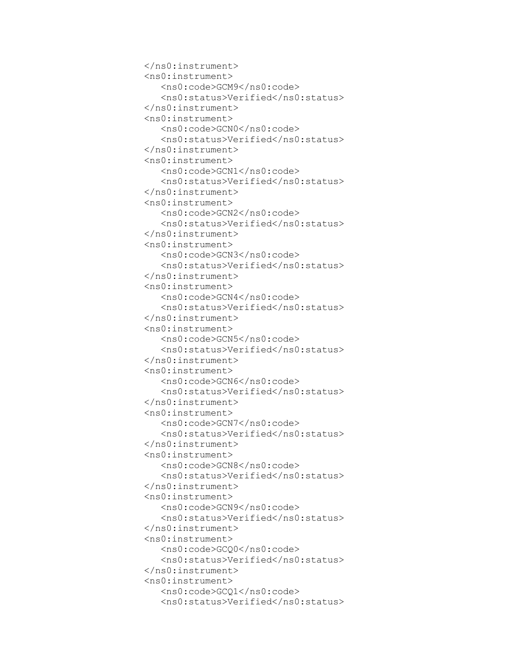```
 </ns0:instrument>
 <ns0:instrument>
    <ns0:code>GCM9</ns0:code>
   <ns0:status>Verified</ns0:status>
 </ns0:instrument>
 <ns0:instrument>
    <ns0:code>GCN0</ns0:code>
   <ns0:status>Verified</ns0:status>
 </ns0:instrument>
 <ns0:instrument>
    <ns0:code>GCN1</ns0:code>
   <ns0:status>Verified</ns0:status>
 </ns0:instrument>
 <ns0:instrument>
    <ns0:code>GCN2</ns0:code>
   <ns0:status>Verified</ns0:status>
 </ns0:instrument>
 <ns0:instrument>
    <ns0:code>GCN3</ns0:code>
    <ns0:status>Verified</ns0:status>
 </ns0:instrument>
 <ns0:instrument>
    <ns0:code>GCN4</ns0:code>
   <ns0:status>Verified</ns0:status>
 </ns0:instrument>
 <ns0:instrument>
    <ns0:code>GCN5</ns0:code>
   <ns0:status>Verified</ns0:status>
 </ns0:instrument>
 <ns0:instrument>
    <ns0:code>GCN6</ns0:code>
   <ns0:status>Verified</ns0:status>
 </ns0:instrument>
 <ns0:instrument>
    <ns0:code>GCN7</ns0:code>
   <ns0:status>Verified</ns0:status>
 </ns0:instrument>
 <ns0:instrument>
    <ns0:code>GCN8</ns0:code>
   <ns0:status>Verified</ns0:status>
 </ns0:instrument>
 <ns0:instrument>
    <ns0:code>GCN9</ns0:code>
   <ns0:status>Verified</ns0:status>
 </ns0:instrument>
 <ns0:instrument>
    <ns0:code>GCQ0</ns0:code>
   <ns0:status>Verified</ns0:status>
 </ns0:instrument>
 <ns0:instrument>
    <ns0:code>GCQ1</ns0:code>
   <ns0:status>Verified</ns0:status>
```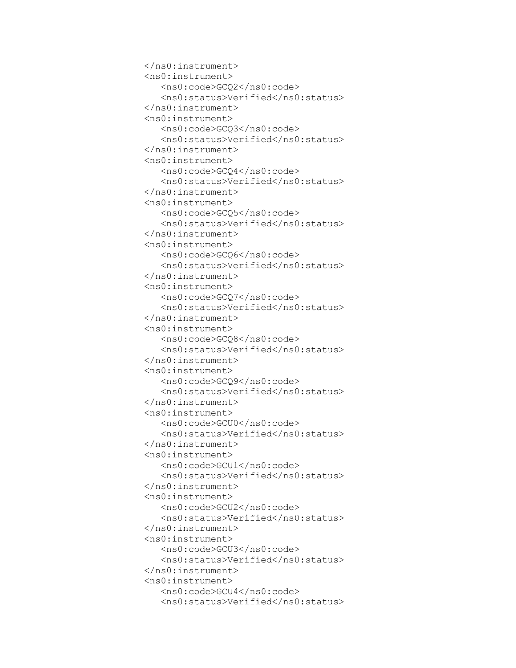```
 </ns0:instrument>
 <ns0:instrument>
    <ns0:code>GCQ2</ns0:code>
   <ns0:status>Verified</ns0:status>
 </ns0:instrument>
 <ns0:instrument>
    <ns0:code>GCQ3</ns0:code>
   <ns0:status>Verified</ns0:status>
 </ns0:instrument>
 <ns0:instrument>
    <ns0:code>GCQ4</ns0:code>
   <ns0:status>Verified</ns0:status>
 </ns0:instrument>
 <ns0:instrument>
    <ns0:code>GCQ5</ns0:code>
   <ns0:status>Verified</ns0:status>
 </ns0:instrument>
 <ns0:instrument>
    <ns0:code>GCQ6</ns0:code>
   <ns0:status>Verified</ns0:status>
 </ns0:instrument>
 <ns0:instrument>
    <ns0:code>GCQ7</ns0:code>
    <ns0:status>Verified</ns0:status>
 </ns0:instrument>
 <ns0:instrument>
    <ns0:code>GCQ8</ns0:code>
   <ns0:status>Verified</ns0:status>
 </ns0:instrument>
 <ns0:instrument>
    <ns0:code>GCQ9</ns0:code>
   <ns0:status>Verified</ns0:status>
 </ns0:instrument>
 <ns0:instrument>
    <ns0:code>GCU0</ns0:code>
   <ns0:status>Verified</ns0:status>
 </ns0:instrument>
 <ns0:instrument>
    <ns0:code>GCU1</ns0:code>
   <ns0:status>Verified</ns0:status>
 </ns0:instrument>
 <ns0:instrument>
    <ns0:code>GCU2</ns0:code>
   <ns0:status>Verified</ns0:status>
 </ns0:instrument>
 <ns0:instrument>
    <ns0:code>GCU3</ns0:code>
   <ns0:status>Verified</ns0:status>
 </ns0:instrument>
 <ns0:instrument>
    <ns0:code>GCU4</ns0:code>
   <ns0:status>Verified</ns0:status>
```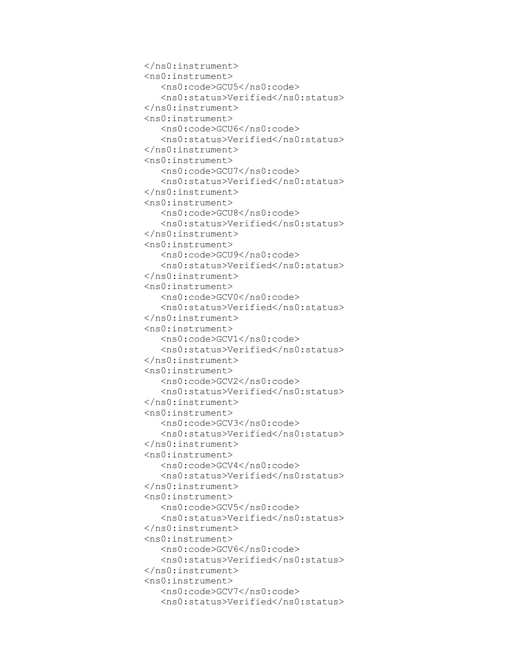```
 </ns0:instrument>
 <ns0:instrument>
    <ns0:code>GCU5</ns0:code>
   <ns0:status>Verified</ns0:status>
 </ns0:instrument>
 <ns0:instrument>
    <ns0:code>GCU6</ns0:code>
   <ns0:status>Verified</ns0:status>
 </ns0:instrument>
 <ns0:instrument>
    <ns0:code>GCU7</ns0:code>
   <ns0:status>Verified</ns0:status>
 </ns0:instrument>
 <ns0:instrument>
    <ns0:code>GCU8</ns0:code>
   <ns0:status>Verified</ns0:status>
 </ns0:instrument>
 <ns0:instrument>
    <ns0:code>GCU9</ns0:code>
   <ns0:status>Verified</ns0:status>
 </ns0:instrument>
 <ns0:instrument>
    <ns0:code>GCV0</ns0:code>
   <ns0:status>Verified</ns0:status>
 </ns0:instrument>
 <ns0:instrument>
    <ns0:code>GCV1</ns0:code>
    <ns0:status>Verified</ns0:status>
 </ns0:instrument>
 <ns0:instrument>
    <ns0:code>GCV2</ns0:code>
   <ns0:status>Verified</ns0:status>
 </ns0:instrument>
 <ns0:instrument>
    <ns0:code>GCV3</ns0:code>
   <ns0:status>Verified</ns0:status>
 </ns0:instrument>
 <ns0:instrument>
    <ns0:code>GCV4</ns0:code>
   <ns0:status>Verified</ns0:status>
 </ns0:instrument>
 <ns0:instrument>
    <ns0:code>GCV5</ns0:code>
   <ns0:status>Verified</ns0:status>
 </ns0:instrument>
 <ns0:instrument>
    <ns0:code>GCV6</ns0:code>
   <ns0:status>Verified</ns0:status>
 </ns0:instrument>
 <ns0:instrument>
    <ns0:code>GCV7</ns0:code>
   <ns0:status>Verified</ns0:status>
```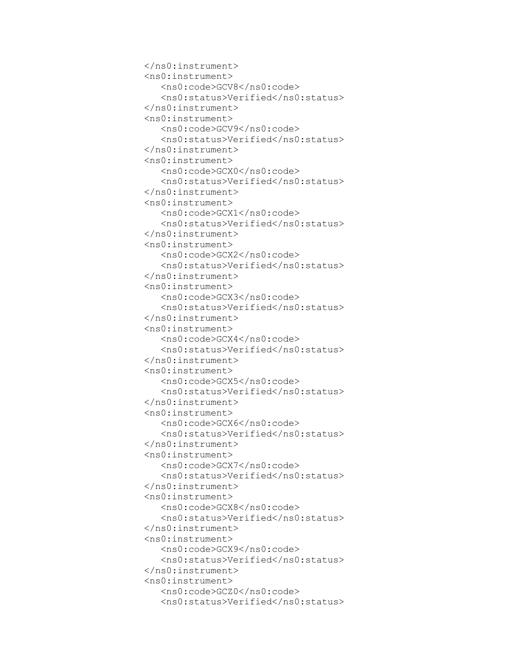```
 </ns0:instrument>
 <ns0:instrument>
    <ns0:code>GCV8</ns0:code>
   <ns0:status>Verified</ns0:status>
 </ns0:instrument>
 <ns0:instrument>
    <ns0:code>GCV9</ns0:code>
   <ns0:status>Verified</ns0:status>
 </ns0:instrument>
 <ns0:instrument>
    <ns0:code>GCX0</ns0:code>
   <ns0:status>Verified</ns0:status>
 </ns0:instrument>
 <ns0:instrument>
    <ns0:code>GCX1</ns0:code>
   <ns0:status>Verified</ns0:status>
 </ns0:instrument>
 <ns0:instrument>
    <ns0:code>GCX2</ns0:code>
   <ns0:status>Verified</ns0:status>
 </ns0:instrument>
 <ns0:instrument>
    <ns0:code>GCX3</ns0:code>
   <ns0:status>Verified</ns0:status>
 </ns0:instrument>
 <ns0:instrument>
    <ns0:code>GCX4</ns0:code>
   <ns0:status>Verified</ns0:status>
 </ns0:instrument>
 <ns0:instrument>
    <ns0:code>GCX5</ns0:code>
    <ns0:status>Verified</ns0:status>
 </ns0:instrument>
 <ns0:instrument>
    <ns0:code>GCX6</ns0:code>
   <ns0:status>Verified</ns0:status>
 </ns0:instrument>
 <ns0:instrument>
    <ns0:code>GCX7</ns0:code>
   <ns0:status>Verified</ns0:status>
 </ns0:instrument>
 <ns0:instrument>
    <ns0:code>GCX8</ns0:code>
   <ns0:status>Verified</ns0:status>
 </ns0:instrument>
 <ns0:instrument>
    <ns0:code>GCX9</ns0:code>
   <ns0:status>Verified</ns0:status>
 </ns0:instrument>
 <ns0:instrument>
    <ns0:code>GCZ0</ns0:code>
   <ns0:status>Verified</ns0:status>
```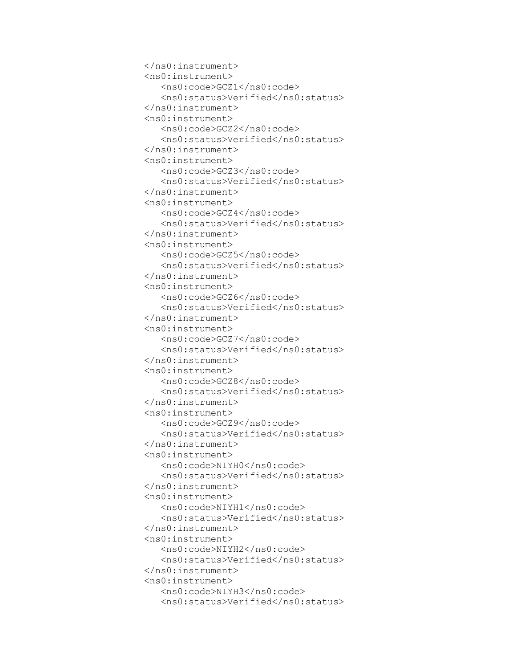```
 </ns0:instrument>
 <ns0:instrument>
    <ns0:code>GCZ1</ns0:code>
   <ns0:status>Verified</ns0:status>
 </ns0:instrument>
 <ns0:instrument>
    <ns0:code>GCZ2</ns0:code>
   <ns0:status>Verified</ns0:status>
 </ns0:instrument>
 <ns0:instrument>
    <ns0:code>GCZ3</ns0:code>
   <ns0:status>Verified</ns0:status>
 </ns0:instrument>
 <ns0:instrument>
    <ns0:code>GCZ4</ns0:code>
   <ns0:status>Verified</ns0:status>
 </ns0:instrument>
 <ns0:instrument>
    <ns0:code>GCZ5</ns0:code>
   <ns0:status>Verified</ns0:status>
 </ns0:instrument>
 <ns0:instrument>
    <ns0:code>GCZ6</ns0:code>
   <ns0:status>Verified</ns0:status>
 </ns0:instrument>
 <ns0:instrument>
    <ns0:code>GCZ7</ns0:code>
   <ns0:status>Verified</ns0:status>
 </ns0:instrument>
 <ns0:instrument>
    <ns0:code>GCZ8</ns0:code>
   <ns0:status>Verified</ns0:status>
 </ns0:instrument>
 <ns0:instrument>
    <ns0:code>GCZ9</ns0:code>
    <ns0:status>Verified</ns0:status>
 </ns0:instrument>
 <ns0:instrument>
    <ns0:code>NIYH0</ns0:code>
   <ns0:status>Verified</ns0:status>
 </ns0:instrument>
 <ns0:instrument>
    <ns0:code>NIYH1</ns0:code>
   <ns0:status>Verified</ns0:status>
 </ns0:instrument>
 <ns0:instrument>
    <ns0:code>NIYH2</ns0:code>
    <ns0:status>Verified</ns0:status>
 </ns0:instrument>
 <ns0:instrument>
    <ns0:code>NIYH3</ns0:code>
   <ns0:status>Verified</ns0:status>
```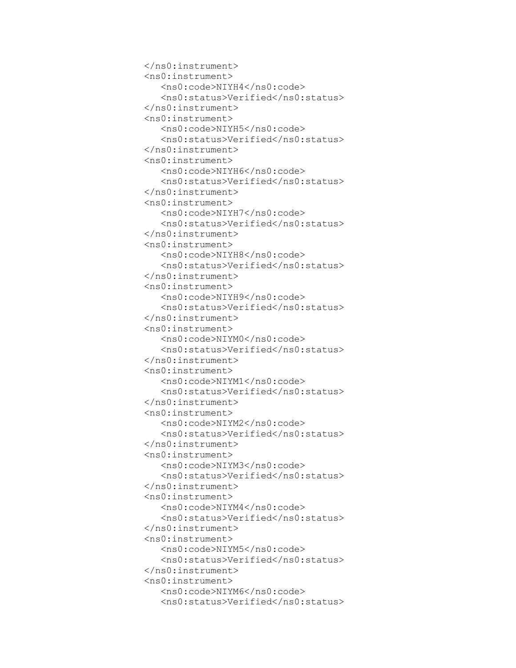```
 </ns0:instrument>
 <ns0:instrument>
    <ns0:code>NIYH4</ns0:code>
   <ns0:status>Verified</ns0:status>
 </ns0:instrument>
 <ns0:instrument>
    <ns0:code>NIYH5</ns0:code>
   <ns0:status>Verified</ns0:status>
 </ns0:instrument>
 <ns0:instrument>
    <ns0:code>NIYH6</ns0:code>
   <ns0:status>Verified</ns0:status>
 </ns0:instrument>
 <ns0:instrument>
    <ns0:code>NIYH7</ns0:code>
   <ns0:status>Verified</ns0:status>
 </ns0:instrument>
 <ns0:instrument>
    <ns0:code>NIYH8</ns0:code>
   <ns0:status>Verified</ns0:status>
 </ns0:instrument>
 <ns0:instrument>
    <ns0:code>NIYH9</ns0:code>
   <ns0:status>Verified</ns0:status>
 </ns0:instrument>
 <ns0:instrument>
    <ns0:code>NIYM0</ns0:code>
   <ns0:status>Verified</ns0:status>
 </ns0:instrument>
 <ns0:instrument>
    <ns0:code>NIYM1</ns0:code>
   <ns0:status>Verified</ns0:status>
 </ns0:instrument>
 <ns0:instrument>
    <ns0:code>NIYM2</ns0:code>
   <ns0:status>Verified</ns0:status>
 </ns0:instrument>
 <ns0:instrument>
    <ns0:code>NIYM3</ns0:code>
    <ns0:status>Verified</ns0:status>
 </ns0:instrument>
 <ns0:instrument>
    <ns0:code>NIYM4</ns0:code>
   <ns0:status>Verified</ns0:status>
 </ns0:instrument>
 <ns0:instrument>
    <ns0:code>NIYM5</ns0:code>
   <ns0:status>Verified</ns0:status>
 </ns0:instrument>
 <ns0:instrument>
    <ns0:code>NIYM6</ns0:code>
    <ns0:status>Verified</ns0:status>
```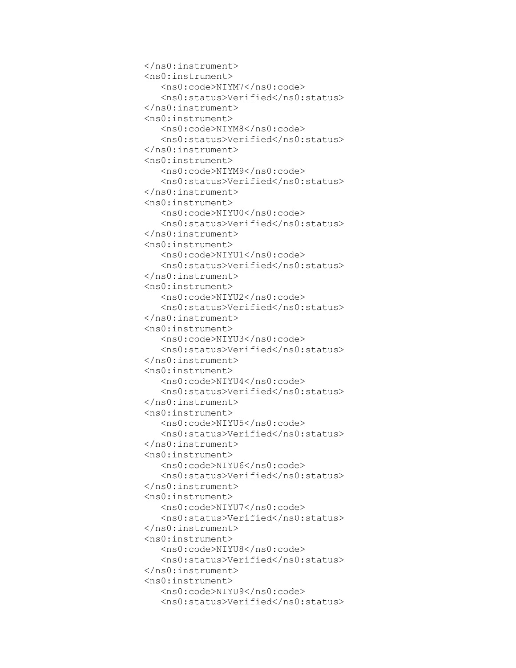```
 </ns0:instrument>
 <ns0:instrument>
    <ns0:code>NIYM7</ns0:code>
   <ns0:status>Verified</ns0:status>
 </ns0:instrument>
 <ns0:instrument>
    <ns0:code>NIYM8</ns0:code>
   <ns0:status>Verified</ns0:status>
 </ns0:instrument>
 <ns0:instrument>
    <ns0:code>NIYM9</ns0:code>
   <ns0:status>Verified</ns0:status>
 </ns0:instrument>
 <ns0:instrument>
    <ns0:code>NIYU0</ns0:code>
   <ns0:status>Verified</ns0:status>
 </ns0:instrument>
 <ns0:instrument>
    <ns0:code>NIYU1</ns0:code>
   <ns0:status>Verified</ns0:status>
 </ns0:instrument>
 <ns0:instrument>
    <ns0:code>NIYU2</ns0:code>
   <ns0:status>Verified</ns0:status>
 </ns0:instrument>
 <ns0:instrument>
    <ns0:code>NIYU3</ns0:code>
   <ns0:status>Verified</ns0:status>
 </ns0:instrument>
 <ns0:instrument>
    <ns0:code>NIYU4</ns0:code>
   <ns0:status>Verified</ns0:status>
 </ns0:instrument>
 <ns0:instrument>
    <ns0:code>NIYU5</ns0:code>
   <ns0:status>Verified</ns0:status>
 </ns0:instrument>
 <ns0:instrument>
    <ns0:code>NIYU6</ns0:code>
   <ns0:status>Verified</ns0:status>
 </ns0:instrument>
 <ns0:instrument>
    <ns0:code>NIYU7</ns0:code>
    <ns0:status>Verified</ns0:status>
 </ns0:instrument>
 <ns0:instrument>
    <ns0:code>NIYU8</ns0:code>
   <ns0:status>Verified</ns0:status>
 </ns0:instrument>
 <ns0:instrument>
    <ns0:code>NIYU9</ns0:code>
   <ns0:status>Verified</ns0:status>
```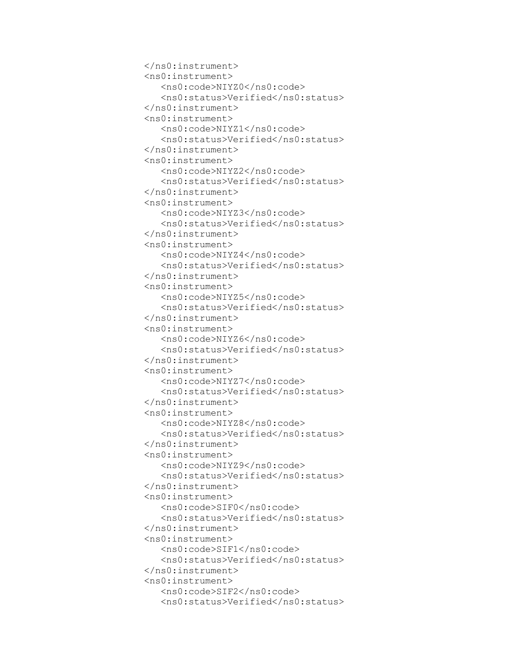```
 </ns0:instrument>
 <ns0:instrument>
    <ns0:code>NIYZ0</ns0:code>
    <ns0:status>Verified</ns0:status>
 </ns0:instrument>
 <ns0:instrument>
    <ns0:code>NIYZ1</ns0:code>
   <ns0:status>Verified</ns0:status>
 </ns0:instrument>
 <ns0:instrument>
    <ns0:code>NIYZ2</ns0:code>
   <ns0:status>Verified</ns0:status>
 </ns0:instrument>
 <ns0:instrument>
    <ns0:code>NIYZ3</ns0:code>
   <ns0:status>Verified</ns0:status>
 </ns0:instrument>
 <ns0:instrument>
    <ns0:code>NIYZ4</ns0:code>
   <ns0:status>Verified</ns0:status>
 </ns0:instrument>
 <ns0:instrument>
    <ns0:code>NIYZ5</ns0:code>
   <ns0:status>Verified</ns0:status>
 </ns0:instrument>
 <ns0:instrument>
    <ns0:code>NIYZ6</ns0:code>
   <ns0:status>Verified</ns0:status>
 </ns0:instrument>
 <ns0:instrument>
    <ns0:code>NIYZ7</ns0:code>
   <ns0:status>Verified</ns0:status>
 </ns0:instrument>
 <ns0:instrument>
    <ns0:code>NIYZ8</ns0:code>
   <ns0:status>Verified</ns0:status>
 </ns0:instrument>
 <ns0:instrument>
    <ns0:code>NIYZ9</ns0:code>
   <ns0:status>Verified</ns0:status>
 </ns0:instrument>
 <ns0:instrument>
    <ns0:code>SIF0</ns0:code>
   <ns0:status>Verified</ns0:status>
 </ns0:instrument>
 <ns0:instrument>
    <ns0:code>SIF1</ns0:code>
    <ns0:status>Verified</ns0:status>
 </ns0:instrument>
 <ns0:instrument>
    <ns0:code>SIF2</ns0:code>
   <ns0:status>Verified</ns0:status>
```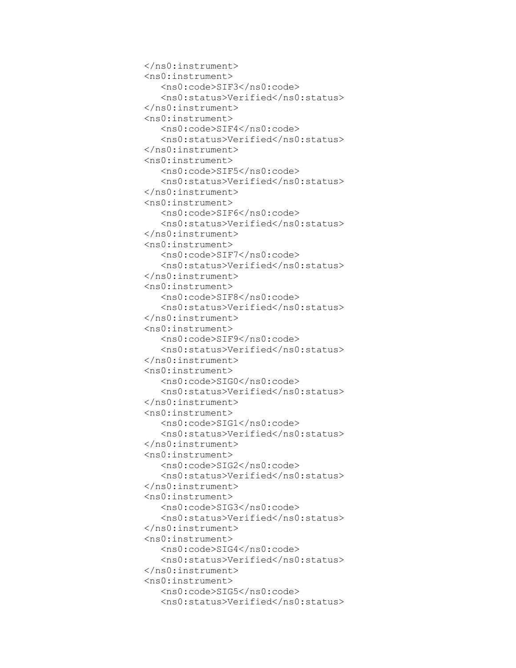```
 </ns0:instrument>
 <ns0:instrument>
    <ns0:code>SIF3</ns0:code>
   <ns0:status>Verified</ns0:status>
 </ns0:instrument>
 <ns0:instrument>
    <ns0:code>SIF4</ns0:code>
   <ns0:status>Verified</ns0:status>
 </ns0:instrument>
 <ns0:instrument>
    <ns0:code>SIF5</ns0:code>
   <ns0:status>Verified</ns0:status>
 </ns0:instrument>
 <ns0:instrument>
    <ns0:code>SIF6</ns0:code>
   <ns0:status>Verified</ns0:status>
 </ns0:instrument>
 <ns0:instrument>
    <ns0:code>SIF7</ns0:code>
   <ns0:status>Verified</ns0:status>
 </ns0:instrument>
 <ns0:instrument>
    <ns0:code>SIF8</ns0:code>
   <ns0:status>Verified</ns0:status>
 </ns0:instrument>
 <ns0:instrument>
    <ns0:code>SIF9</ns0:code>
   <ns0:status>Verified</ns0:status>
 </ns0:instrument>
 <ns0:instrument>
    <ns0:code>SIG0</ns0:code>
   <ns0:status>Verified</ns0:status>
 </ns0:instrument>
 <ns0:instrument>
    <ns0:code>SIG1</ns0:code>
   <ns0:status>Verified</ns0:status>
 </ns0:instrument>
 <ns0:instrument>
    <ns0:code>SIG2</ns0:code>
   <ns0:status>Verified</ns0:status>
 </ns0:instrument>
 <ns0:instrument>
    <ns0:code>SIG3</ns0:code>
   <ns0:status>Verified</ns0:status>
 </ns0:instrument>
 <ns0:instrument>
    <ns0:code>SIG4</ns0:code>
   <ns0:status>Verified</ns0:status>
 </ns0:instrument>
 <ns0:instrument>
    <ns0:code>SIG5</ns0:code>
    <ns0:status>Verified</ns0:status>
```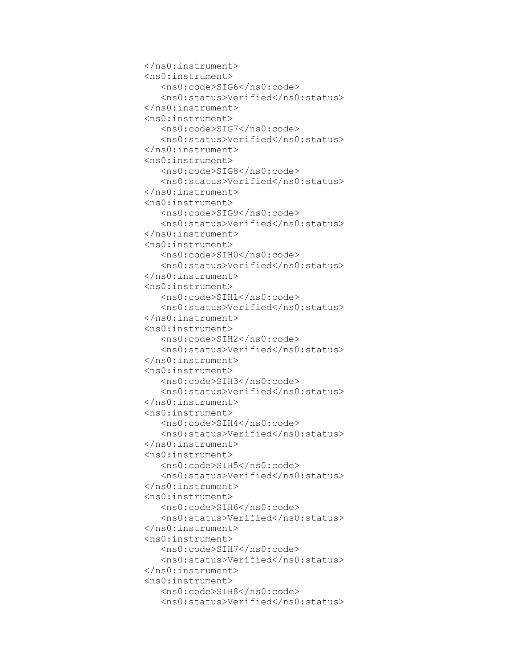```
 </ns0:instrument>
 <ns0:instrument>
    <ns0:code>SIG6</ns0:code>
   <ns0:status>Verified</ns0:status>
 </ns0:instrument>
 <ns0:instrument>
    <ns0:code>SIG7</ns0:code>
   <ns0:status>Verified</ns0:status>
 </ns0:instrument>
 <ns0:instrument>
    <ns0:code>SIG8</ns0:code>
   <ns0:status>Verified</ns0:status>
 </ns0:instrument>
 <ns0:instrument>
    <ns0:code>SIG9</ns0:code>
   <ns0:status>Verified</ns0:status>
 </ns0:instrument>
 <ns0:instrument>
    <ns0:code>SIH0</ns0:code>
   <ns0:status>Verified</ns0:status>
 </ns0:instrument>
 <ns0:instrument>
    <ns0:code>SIH1</ns0:code>
   <ns0:status>Verified</ns0:status>
 </ns0:instrument>
 <ns0:instrument>
    <ns0:code>SIH2</ns0:code>
   <ns0:status>Verified</ns0:status>
 </ns0:instrument>
 <ns0:instrument>
    <ns0:code>SIH3</ns0:code>
   <ns0:status>Verified</ns0:status>
 </ns0:instrument>
 <ns0:instrument>
    <ns0:code>SIH4</ns0:code>
   <ns0:status>Verified</ns0:status>
 </ns0:instrument>
 <ns0:instrument>
    <ns0:code>SIH5</ns0:code>
   <ns0:status>Verified</ns0:status>
 </ns0:instrument>
 <ns0:instrument>
    <ns0:code>SIH6</ns0:code>
   <ns0:status>Verified</ns0:status>
 </ns0:instrument>
 <ns0:instrument>
    <ns0:code>SIH7</ns0:code>
   <ns0:status>Verified</ns0:status>
 </ns0:instrument>
 <ns0:instrument>
    <ns0:code>SIH8</ns0:code>
   <ns0:status>Verified</ns0:status>
```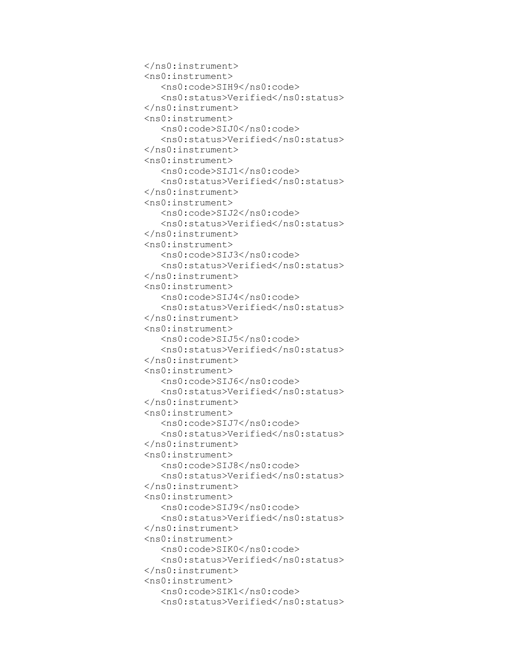```
 </ns0:instrument>
 <ns0:instrument>
    <ns0:code>SIH9</ns0:code>
    <ns0:status>Verified</ns0:status>
 </ns0:instrument>
 <ns0:instrument>
    <ns0:code>SIJ0</ns0:code>
   <ns0:status>Verified</ns0:status>
 </ns0:instrument>
 <ns0:instrument>
    <ns0:code>SIJ1</ns0:code>
   <ns0:status>Verified</ns0:status>
 </ns0:instrument>
 <ns0:instrument>
    <ns0:code>SIJ2</ns0:code>
   <ns0:status>Verified</ns0:status>
 </ns0:instrument>
 <ns0:instrument>
    <ns0:code>SIJ3</ns0:code>
   <ns0:status>Verified</ns0:status>
 </ns0:instrument>
 <ns0:instrument>
    <ns0:code>SIJ4</ns0:code>
   <ns0:status>Verified</ns0:status>
 </ns0:instrument>
 <ns0:instrument>
    <ns0:code>SIJ5</ns0:code>
   <ns0:status>Verified</ns0:status>
 </ns0:instrument>
 <ns0:instrument>
    <ns0:code>SIJ6</ns0:code>
   <ns0:status>Verified</ns0:status>
 </ns0:instrument>
 <ns0:instrument>
    <ns0:code>SIJ7</ns0:code>
   <ns0:status>Verified</ns0:status>
 </ns0:instrument>
 <ns0:instrument>
    <ns0:code>SIJ8</ns0:code>
   <ns0:status>Verified</ns0:status>
 </ns0:instrument>
 <ns0:instrument>
    <ns0:code>SIJ9</ns0:code>
   <ns0:status>Verified</ns0:status>
 </ns0:instrument>
 <ns0:instrument>
    <ns0:code>SIK0</ns0:code>
   <ns0:status>Verified</ns0:status>
 </ns0:instrument>
 <ns0:instrument>
    <ns0:code>SIK1</ns0:code>
   <ns0:status>Verified</ns0:status>
```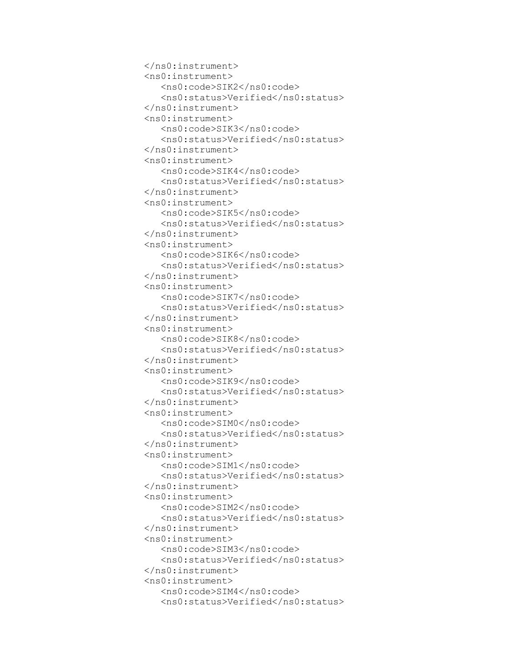```
 </ns0:instrument>
 <ns0:instrument>
    <ns0:code>SIK2</ns0:code>
   <ns0:status>Verified</ns0:status>
 </ns0:instrument>
 <ns0:instrument>
    <ns0:code>SIK3</ns0:code>
    <ns0:status>Verified</ns0:status>
 </ns0:instrument>
 <ns0:instrument>
    <ns0:code>SIK4</ns0:code>
   <ns0:status>Verified</ns0:status>
 </ns0:instrument>
 <ns0:instrument>
    <ns0:code>SIK5</ns0:code>
   <ns0:status>Verified</ns0:status>
 </ns0:instrument>
 <ns0:instrument>
    <ns0:code>SIK6</ns0:code>
   <ns0:status>Verified</ns0:status>
 </ns0:instrument>
 <ns0:instrument>
    <ns0:code>SIK7</ns0:code>
   <ns0:status>Verified</ns0:status>
 </ns0:instrument>
 <ns0:instrument>
    <ns0:code>SIK8</ns0:code>
   <ns0:status>Verified</ns0:status>
 </ns0:instrument>
 <ns0:instrument>
    <ns0:code>SIK9</ns0:code>
   <ns0:status>Verified</ns0:status>
 </ns0:instrument>
 <ns0:instrument>
    <ns0:code>SIM0</ns0:code>
   <ns0:status>Verified</ns0:status>
 </ns0:instrument>
 <ns0:instrument>
    <ns0:code>SIM1</ns0:code>
   <ns0:status>Verified</ns0:status>
 </ns0:instrument>
 <ns0:instrument>
    <ns0:code>SIM2</ns0:code>
   <ns0:status>Verified</ns0:status>
 </ns0:instrument>
 <ns0:instrument>
    <ns0:code>SIM3</ns0:code>
   <ns0:status>Verified</ns0:status>
 </ns0:instrument>
 <ns0:instrument>
    <ns0:code>SIM4</ns0:code>
   <ns0:status>Verified</ns0:status>
```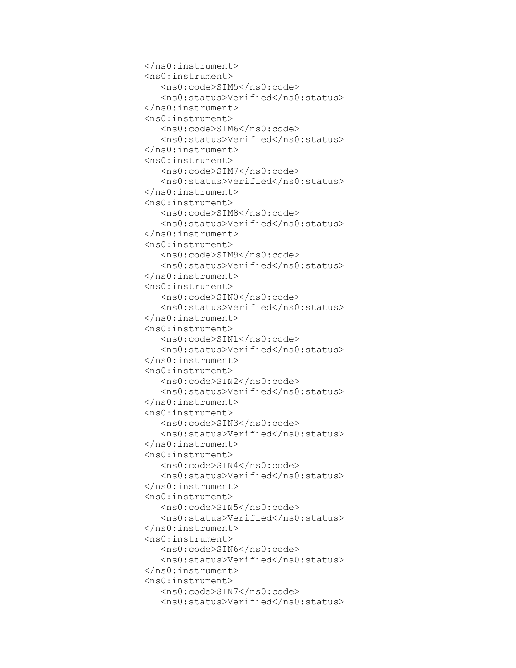```
 </ns0:instrument>
 <ns0:instrument>
    <ns0:code>SIM5</ns0:code>
   <ns0:status>Verified</ns0:status>
 </ns0:instrument>
 <ns0:instrument>
    <ns0:code>SIM6</ns0:code>
   <ns0:status>Verified</ns0:status>
 </ns0:instrument>
 <ns0:instrument>
    <ns0:code>SIM7</ns0:code>
    <ns0:status>Verified</ns0:status>
 </ns0:instrument>
 <ns0:instrument>
    <ns0:code>SIM8</ns0:code>
   <ns0:status>Verified</ns0:status>
 </ns0:instrument>
 <ns0:instrument>
    <ns0:code>SIM9</ns0:code>
   <ns0:status>Verified</ns0:status>
 </ns0:instrument>
 <ns0:instrument>
    <ns0:code>SIN0</ns0:code>
   <ns0:status>Verified</ns0:status>
 </ns0:instrument>
 <ns0:instrument>
    <ns0:code>SIN1</ns0:code>
   <ns0:status>Verified</ns0:status>
 </ns0:instrument>
 <ns0:instrument>
    <ns0:code>SIN2</ns0:code>
   <ns0:status>Verified</ns0:status>
 </ns0:instrument>
 <ns0:instrument>
    <ns0:code>SIN3</ns0:code>
   <ns0:status>Verified</ns0:status>
 </ns0:instrument>
 <ns0:instrument>
    <ns0:code>SIN4</ns0:code>
   <ns0:status>Verified</ns0:status>
 </ns0:instrument>
 <ns0:instrument>
    <ns0:code>SIN5</ns0:code>
   <ns0:status>Verified</ns0:status>
 </ns0:instrument>
 <ns0:instrument>
    <ns0:code>SIN6</ns0:code>
   <ns0:status>Verified</ns0:status>
 </ns0:instrument>
 <ns0:instrument>
    <ns0:code>SIN7</ns0:code>
   <ns0:status>Verified</ns0:status>
```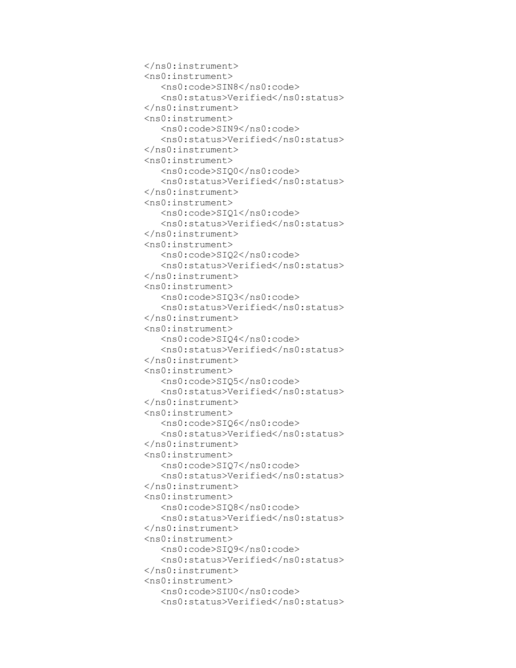```
 </ns0:instrument>
 <ns0:instrument>
    <ns0:code>SIN8</ns0:code>
   <ns0:status>Verified</ns0:status>
 </ns0:instrument>
 <ns0:instrument>
    <ns0:code>SIN9</ns0:code>
   <ns0:status>Verified</ns0:status>
 </ns0:instrument>
 <ns0:instrument>
    <ns0:code>SIQ0</ns0:code>
   <ns0:status>Verified</ns0:status>
 </ns0:instrument>
 <ns0:instrument>
    <ns0:code>SIQ1</ns0:code>
    <ns0:status>Verified</ns0:status>
 </ns0:instrument>
 <ns0:instrument>
    <ns0:code>SIQ2</ns0:code>
   <ns0:status>Verified</ns0:status>
 </ns0:instrument>
 <ns0:instrument>
    <ns0:code>SIQ3</ns0:code>
   <ns0:status>Verified</ns0:status>
 </ns0:instrument>
 <ns0:instrument>
    <ns0:code>SIQ4</ns0:code>
   <ns0:status>Verified</ns0:status>
 </ns0:instrument>
 <ns0:instrument>
    <ns0:code>SIQ5</ns0:code>
   <ns0:status>Verified</ns0:status>
 </ns0:instrument>
 <ns0:instrument>
    <ns0:code>SIQ6</ns0:code>
   <ns0:status>Verified</ns0:status>
 </ns0:instrument>
 <ns0:instrument>
    <ns0:code>SIQ7</ns0:code>
   <ns0:status>Verified</ns0:status>
 </ns0:instrument>
 <ns0:instrument>
    <ns0:code>SIQ8</ns0:code>
   <ns0:status>Verified</ns0:status>
 </ns0:instrument>
 <ns0:instrument>
    <ns0:code>SIQ9</ns0:code>
   <ns0:status>Verified</ns0:status>
 </ns0:instrument>
 <ns0:instrument>
    <ns0:code>SIU0</ns0:code>
   <ns0:status>Verified</ns0:status>
```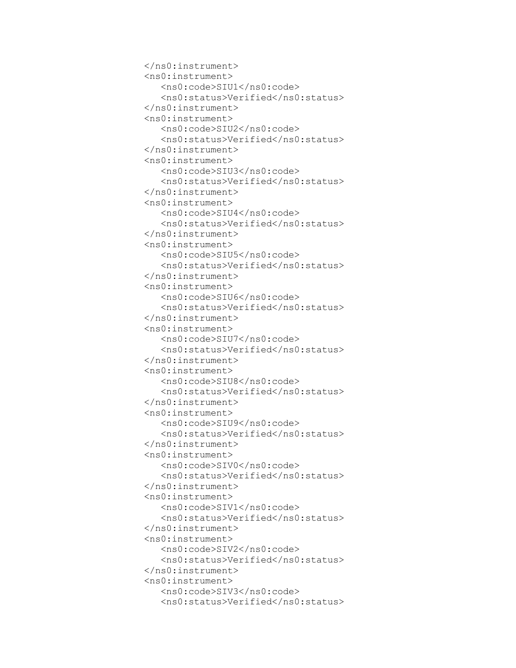```
 </ns0:instrument>
 <ns0:instrument>
    <ns0:code>SIU1</ns0:code>
   <ns0:status>Verified</ns0:status>
 </ns0:instrument>
 <ns0:instrument>
    <ns0:code>SIU2</ns0:code>
   <ns0:status>Verified</ns0:status>
 </ns0:instrument>
 <ns0:instrument>
    <ns0:code>SIU3</ns0:code>
   <ns0:status>Verified</ns0:status>
 </ns0:instrument>
 <ns0:instrument>
    <ns0:code>SIU4</ns0:code>
   <ns0:status>Verified</ns0:status>
 </ns0:instrument>
 <ns0:instrument>
    <ns0:code>SIU5</ns0:code>
    <ns0:status>Verified</ns0:status>
 </ns0:instrument>
 <ns0:instrument>
    <ns0:code>SIU6</ns0:code>
   <ns0:status>Verified</ns0:status>
 </ns0:instrument>
 <ns0:instrument>
    <ns0:code>SIU7</ns0:code>
   <ns0:status>Verified</ns0:status>
 </ns0:instrument>
 <ns0:instrument>
    <ns0:code>SIU8</ns0:code>
   <ns0:status>Verified</ns0:status>
 </ns0:instrument>
 <ns0:instrument>
    <ns0:code>SIU9</ns0:code>
   <ns0:status>Verified</ns0:status>
 </ns0:instrument>
 <ns0:instrument>
    <ns0:code>SIV0</ns0:code>
   <ns0:status>Verified</ns0:status>
 </ns0:instrument>
 <ns0:instrument>
    <ns0:code>SIV1</ns0:code>
   <ns0:status>Verified</ns0:status>
 </ns0:instrument>
 <ns0:instrument>
    <ns0:code>SIV2</ns0:code>
   <ns0:status>Verified</ns0:status>
 </ns0:instrument>
 <ns0:instrument>
    <ns0:code>SIV3</ns0:code>
   <ns0:status>Verified</ns0:status>
```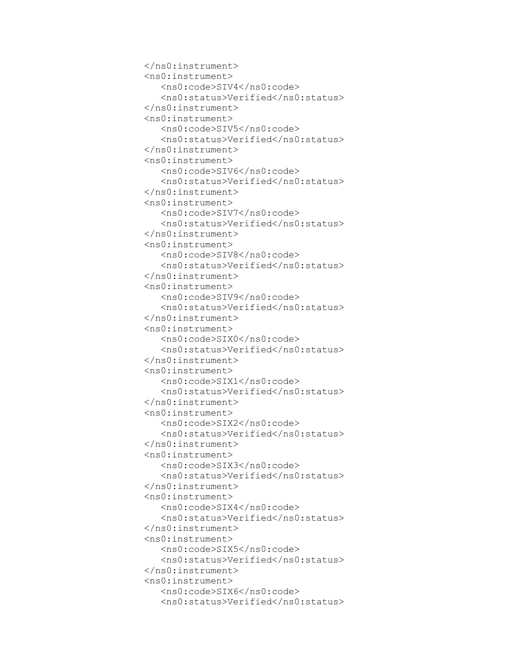```
 </ns0:instrument>
 <ns0:instrument>
    <ns0:code>SIV4</ns0:code>
   <ns0:status>Verified</ns0:status>
 </ns0:instrument>
 <ns0:instrument>
    <ns0:code>SIV5</ns0:code>
   <ns0:status>Verified</ns0:status>
 </ns0:instrument>
 <ns0:instrument>
    <ns0:code>SIV6</ns0:code>
   <ns0:status>Verified</ns0:status>
 </ns0:instrument>
 <ns0:instrument>
    <ns0:code>SIV7</ns0:code>
   <ns0:status>Verified</ns0:status>
 </ns0:instrument>
 <ns0:instrument>
    <ns0:code>SIV8</ns0:code>
   <ns0:status>Verified</ns0:status>
 </ns0:instrument>
 <ns0:instrument>
    <ns0:code>SIV9</ns0:code>
    <ns0:status>Verified</ns0:status>
 </ns0:instrument>
 <ns0:instrument>
    <ns0:code>SIX0</ns0:code>
   <ns0:status>Verified</ns0:status>
 </ns0:instrument>
 <ns0:instrument>
    <ns0:code>SIX1</ns0:code>
   <ns0:status>Verified</ns0:status>
 </ns0:instrument>
 <ns0:instrument>
    <ns0:code>SIX2</ns0:code>
   <ns0:status>Verified</ns0:status>
 </ns0:instrument>
 <ns0:instrument>
    <ns0:code>SIX3</ns0:code>
   <ns0:status>Verified</ns0:status>
 </ns0:instrument>
 <ns0:instrument>
    <ns0:code>SIX4</ns0:code>
   <ns0:status>Verified</ns0:status>
 </ns0:instrument>
 <ns0:instrument>
    <ns0:code>SIX5</ns0:code>
   <ns0:status>Verified</ns0:status>
 </ns0:instrument>
 <ns0:instrument>
    <ns0:code>SIX6</ns0:code>
   <ns0:status>Verified</ns0:status>
```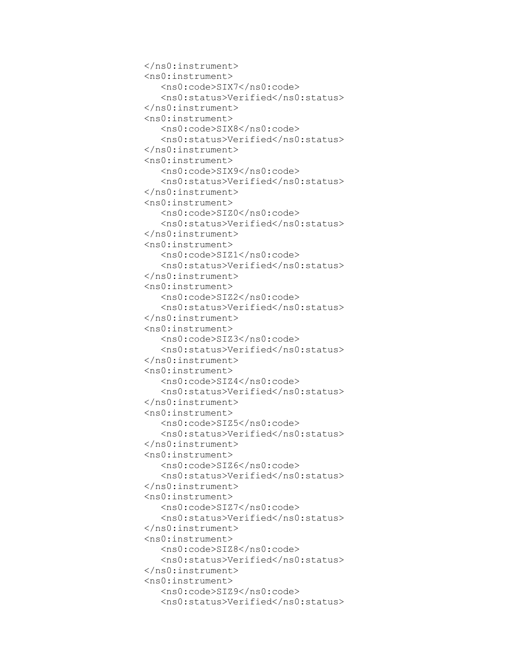```
 </ns0:instrument>
 <ns0:instrument>
    <ns0:code>SIX7</ns0:code>
   <ns0:status>Verified</ns0:status>
 </ns0:instrument>
 <ns0:instrument>
    <ns0:code>SIX8</ns0:code>
   <ns0:status>Verified</ns0:status>
 </ns0:instrument>
 <ns0:instrument>
    <ns0:code>SIX9</ns0:code>
   <ns0:status>Verified</ns0:status>
 </ns0:instrument>
 <ns0:instrument>
    <ns0:code>SIZ0</ns0:code>
   <ns0:status>Verified</ns0:status>
 </ns0:instrument>
 <ns0:instrument>
    <ns0:code>SIZ1</ns0:code>
   <ns0:status>Verified</ns0:status>
 </ns0:instrument>
 <ns0:instrument>
    <ns0:code>SIZ2</ns0:code>
   <ns0:status>Verified</ns0:status>
 </ns0:instrument>
 <ns0:instrument>
    <ns0:code>SIZ3</ns0:code>
    <ns0:status>Verified</ns0:status>
 </ns0:instrument>
 <ns0:instrument>
    <ns0:code>SIZ4</ns0:code>
   <ns0:status>Verified</ns0:status>
 </ns0:instrument>
 <ns0:instrument>
    <ns0:code>SIZ5</ns0:code>
   <ns0:status>Verified</ns0:status>
 </ns0:instrument>
 <ns0:instrument>
    <ns0:code>SIZ6</ns0:code>
   <ns0:status>Verified</ns0:status>
 </ns0:instrument>
 <ns0:instrument>
    <ns0:code>SIZ7</ns0:code>
   <ns0:status>Verified</ns0:status>
 </ns0:instrument>
 <ns0:instrument>
    <ns0:code>SIZ8</ns0:code>
   <ns0:status>Verified</ns0:status>
 </ns0:instrument>
 <ns0:instrument>
    <ns0:code>SIZ9</ns0:code>
   <ns0:status>Verified</ns0:status>
```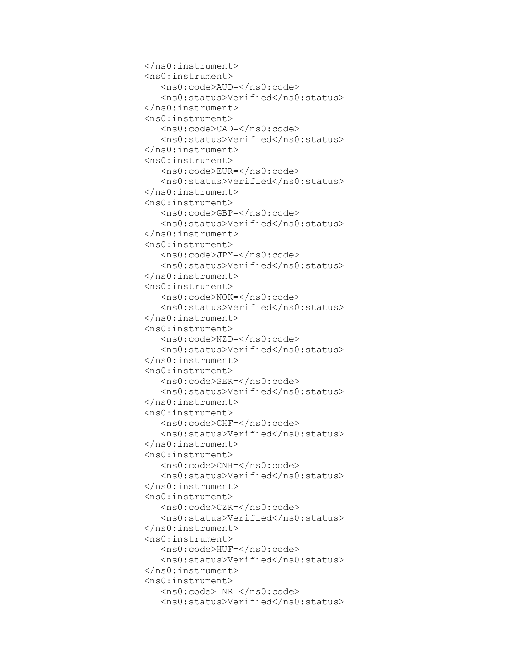```
 </ns0:instrument>
 <ns0:instrument>
    <ns0:code>AUD=</ns0:code>
   <ns0:status>Verified</ns0:status>
 </ns0:instrument>
 <ns0:instrument>
    <ns0:code>CAD=</ns0:code>
   <ns0:status>Verified</ns0:status>
 </ns0:instrument>
 <ns0:instrument>
    <ns0:code>EUR=</ns0:code>
   <ns0:status>Verified</ns0:status>
 </ns0:instrument>
 <ns0:instrument>
    <ns0:code>GBP=</ns0:code>
   <ns0:status>Verified</ns0:status>
 </ns0:instrument>
 <ns0:instrument>
    <ns0:code>JPY=</ns0:code>
   <ns0:status>Verified</ns0:status>
 </ns0:instrument>
 <ns0:instrument>
    <ns0:code>NOK=</ns0:code>
   <ns0:status>Verified</ns0:status>
 </ns0:instrument>
 <ns0:instrument>
    <ns0:code>NZD=</ns0:code>
   <ns0:status>Verified</ns0:status>
 </ns0:instrument>
 <ns0:instrument>
    <ns0:code>SEK=</ns0:code>
    <ns0:status>Verified</ns0:status>
 </ns0:instrument>
 <ns0:instrument>
    <ns0:code>CHF=</ns0:code>
   <ns0:status>Verified</ns0:status>
 </ns0:instrument>
 <ns0:instrument>
    <ns0:code>CNH=</ns0:code>
   <ns0:status>Verified</ns0:status>
 </ns0:instrument>
 <ns0:instrument>
    <ns0:code>CZK=</ns0:code>
   <ns0:status>Verified</ns0:status>
 </ns0:instrument>
 <ns0:instrument>
    <ns0:code>HUF=</ns0:code>
   <ns0:status>Verified</ns0:status>
 </ns0:instrument>
 <ns0:instrument>
    <ns0:code>INR=</ns0:code>
   <ns0:status>Verified</ns0:status>
```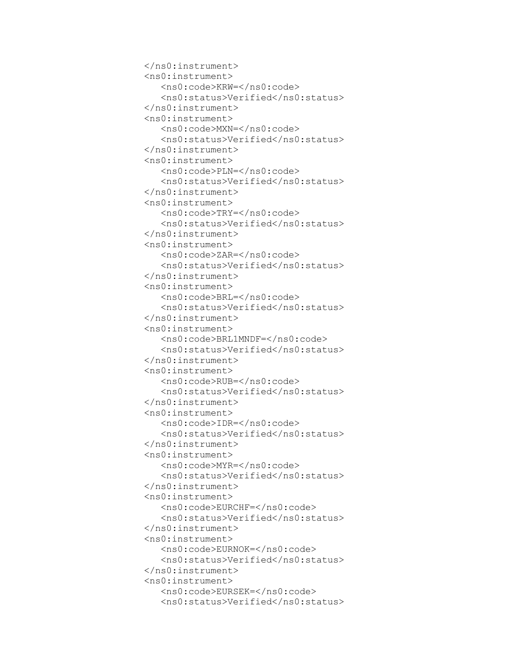```
 </ns0:instrument>
 <ns0:instrument>
    <ns0:code>KRW=</ns0:code>
   <ns0:status>Verified</ns0:status>
 </ns0:instrument>
 <ns0:instrument>
    <ns0:code>MXN=</ns0:code>
   <ns0:status>Verified</ns0:status>
 </ns0:instrument>
 <ns0:instrument>
    <ns0:code>PLN=</ns0:code>
   <ns0:status>Verified</ns0:status>
 </ns0:instrument>
 <ns0:instrument>
    <ns0:code>TRY=</ns0:code>
   <ns0:status>Verified</ns0:status>
 </ns0:instrument>
 <ns0:instrument>
    <ns0:code>ZAR=</ns0:code>
   <ns0:status>Verified</ns0:status>
 </ns0:instrument>
 <ns0:instrument>
    <ns0:code>BRL=</ns0:code>
   <ns0:status>Verified</ns0:status>
 </ns0:instrument>
 <ns0:instrument>
    <ns0:code>BRL1MNDF=</ns0:code>
   <ns0:status>Verified</ns0:status>
 </ns0:instrument>
 <ns0:instrument>
    <ns0:code>RUB=</ns0:code>
   <ns0:status>Verified</ns0:status>
 </ns0:instrument>
 <ns0:instrument>
    <ns0:code>IDR=</ns0:code>
    <ns0:status>Verified</ns0:status>
 </ns0:instrument>
 <ns0:instrument>
    <ns0:code>MYR=</ns0:code>
   <ns0:status>Verified</ns0:status>
 </ns0:instrument>
 <ns0:instrument>
    <ns0:code>EURCHF=</ns0:code>
   <ns0:status>Verified</ns0:status>
 </ns0:instrument>
 <ns0:instrument>
    <ns0:code>EURNOK=</ns0:code>
    <ns0:status>Verified</ns0:status>
 </ns0:instrument>
 <ns0:instrument>
    <ns0:code>EURSEK=</ns0:code>
   <ns0:status>Verified</ns0:status>
```